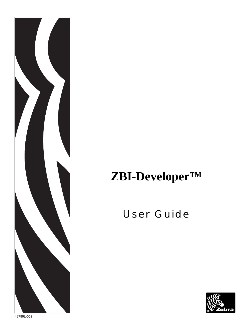

# **ZBI-Developer™**

# User Guide

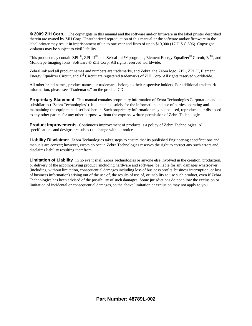**© 2009 ZIH Corp.** The copyrights in this manual and the software and/or firmware in the label printer described therein are owned by ZIH Corp. Unauthorized reproduction of this manual or the software and/or firmware in the label printer may result in imprisonment of up to one year and fines of up to \$10,000 (17 U.S.C.506). Copyright violators may be subject to civil liability.

This product may contain ZPL®, ZPL II®, and ZebraLink™ programs; Element Energy Equalizer® Circuit; E*<sup>3</sup>*®; and Monotype Imaging fonts. Software © ZIH Corp. All rights reserved worldwide.

ZebraLink and all product names and numbers are trademarks, and Zebra, the Zebra logo, ZPL, ZPL II, Element Energy Equalizer Circuit, and E*3* Circuit are registered trademarks of ZIH Corp. All rights reserved worldwide.

All other brand names, product names, or trademarks belong to their respective holders. For additional trademark information, please see "Trademarks" on the product CD.

**Proprietary Statement** This manual contains proprietary information of Zebra Technologies Corporation and its subsidiaries ("Zebra Technologies"). It is intended solely for the information and use of parties operating and maintaining the equipment described herein. Such proprietary information may not be used, reproduced, or disclosed to any other parties for any other purpose without the express, written permission of Zebra Technologies.

**Product Improvements** Continuous improvement of products is a policy of Zebra Technologies. All specifications and designs are subject to change without notice.

**Liability Disclaimer** Zebra Technologies takes steps to ensure that its published Engineering specifications and manuals are correct; however, errors do occur. Zebra Technologies reserves the right to correct any such errors and disclaims liability resulting therefrom.

**Limitation of Liability** In no event shall Zebra Technologies or anyone else involved in the creation, production, or delivery of the accompanying product (including hardware and software) be liable for any damages whatsoever (including, without limitation, consequential damages including loss of business profits, business interruption, or loss of business information) arising out of the use of, the results of use of, or inability to use such product, even if Zebra Technologies has been advised of the possibility of such damages. Some jurisdictions do not allow the exclusion or limitation of incidental or consequential damages, so the above limitation or exclusion may not apply to you.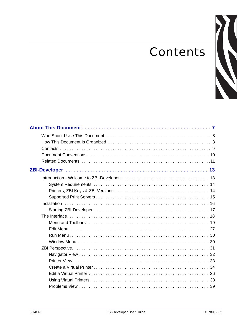# **Contents**

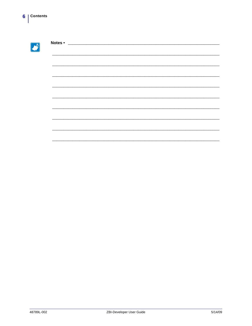| Notes • |  |  |  |  |
|---------|--|--|--|--|
|         |  |  |  |  |
|         |  |  |  |  |
|         |  |  |  |  |
|         |  |  |  |  |
|         |  |  |  |  |
|         |  |  |  |  |
|         |  |  |  |  |
|         |  |  |  |  |
|         |  |  |  |  |
|         |  |  |  |  |
|         |  |  |  |  |
|         |  |  |  |  |
|         |  |  |  |  |
|         |  |  |  |  |
|         |  |  |  |  |
|         |  |  |  |  |
|         |  |  |  |  |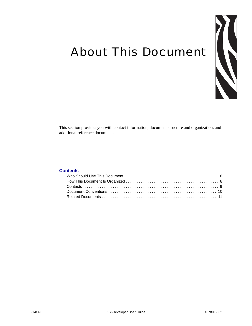# <span id="page-6-0"></span>About This Document



This section provides you with contact information, document structure and organization, and additional reference documents.

#### **Contents**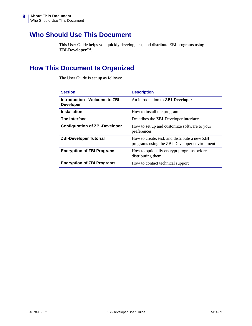# <span id="page-7-0"></span>**Who Should Use This Document**

This User Guide helps you quickly develop, test, and distribute ZBI programs using **ZBI-Developer™**.

# <span id="page-7-1"></span>**How This Document Is Organized**

The User Guide is set up as follows:

| <b>Section</b>                                     | <b>Description</b>                                                                            |
|----------------------------------------------------|-----------------------------------------------------------------------------------------------|
| Introduction - Welcome to ZBI-<br><b>Developer</b> | An introduction to <b>ZBI-Developer</b>                                                       |
| <b>Installation</b>                                | How to install the program                                                                    |
| The Interface                                      | Describes the ZBI-Developer interface                                                         |
| <b>Configuration of ZBI-Developer</b>              | How to set up and customize software to your<br>preferences                                   |
| <b>ZBI-Developer Tutorial</b>                      | How to create, test, and distribute a new ZBI<br>programs using the ZBI-Developer environment |
| <b>Encryption of ZBI Programs</b>                  | How to optionally encrypt programs before<br>distributing them                                |
| <b>Encryption of ZBI Programs</b>                  | How to contact technical support                                                              |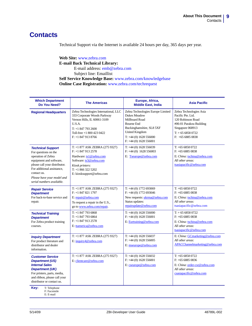# <span id="page-8-1"></span><span id="page-8-0"></span>**Contacts**

Technical Support via the Internet is available 24 hours per day, 365 days per year.

**Web Site:** www.zebra.com **E-mail Back Technical Library:** E-mail address: [emb@zebra.com](mailto:emb@zebra.com) Subject line: Emaillist **Self Service Knowledge Base:** [www.zebra.com/knowledgebase](http://www.zebra.com/knowledgebase) **Online Case Registration:** [www.zebra.com/techrequest](http://www.zebra.com/techrequest) 

| <b>Which Department</b><br>Do You Need?                                                                                                                                                                                                    | <b>The Americas</b>                                                                                                                                                                  | Europe, Africa,<br><b>Middle East, India</b>                                                                                                                                                 | <b>Asia Pacific</b>                                                                                                                                      |
|--------------------------------------------------------------------------------------------------------------------------------------------------------------------------------------------------------------------------------------------|--------------------------------------------------------------------------------------------------------------------------------------------------------------------------------------|----------------------------------------------------------------------------------------------------------------------------------------------------------------------------------------------|----------------------------------------------------------------------------------------------------------------------------------------------------------|
| <b>Regional Headquarters</b>                                                                                                                                                                                                               | Zebra Technologies International, LLC<br>333 Corporate Woods Parkway<br>Vernon Hills, IL 60061-3109<br>U.S.A.<br>$T: +18477932600$<br>Toll-free +1 800 423 0422<br>$F: +18479138766$ | Zebra Technologies Europe Limited<br>Dukes Meadow<br>Millboard Road<br><b>Bourne End</b><br>Buckinghamshire, SL8 5XF<br>United Kingdom<br>$T: +44(0)$ 1628 556000<br>$F: +44(0)$ 1628 556001 | Zebra Technologies Asia<br>Pacific Pte. Ltd.<br>120 Robinson Road<br>#06-01 Parakou Building<br>Singapore 068913<br>$T: +6568580722$<br>$F: +6568850838$ |
| <b>Technical Support</b><br>For questions on the<br>operation of Zebra<br>equipment and software,<br>please call your distributor.<br>For additional assistance,<br>contact us.<br>Please have your model and<br>serial numbers available. | T: +1 877 ASK ZEBRA (275 9327)<br>$F: +18479132578$<br>Hardware: ts1@zebra.com<br>Software: ts3@zebra.com<br>Kiosk printers:<br>$T: +18663225202$<br>E: kiosksupport@zebra.com       | $T: +44(0)$ 1628 556039<br>$F: +44(0)$ 1628 556003<br>E: Tseurope@zebra.com                                                                                                                  | $T: +6568580722$<br>$F: +6568850838$<br>E: China: tschina@zebra.com<br>All other areas:<br>tsasiapacific@zebra.com                                       |
| <b>Repair Service</b><br><b>Department</b><br>For back-to-base service and<br>repair.                                                                                                                                                      | T: +1 877 ASK ZEBRA (275 9327)<br>$F: +18478211797$<br>E: repair@zebra.com<br>To request a repair in the U.S.,<br>go to www.zebra.com/repair.                                        | T: $+44(0)$ 1772 693069<br>$F: +44(0)$ 1772 693046<br>New requests: <i>ukrma@zebra.com</i><br>Status updates:<br>repairupdate@zebra.com                                                      | $T: +6568580722$<br>$F: +6568850838$<br>E: China: tschina@zebra.com<br>All other areas:<br>tsasiapacific@zebra.com                                       |
| <b>Technical Training</b><br><b>Department</b><br>For Zebra product training<br>courses.                                                                                                                                                   | $T: +18477936868$<br>$T: +18477936864$<br>$F: +18479132578$<br>E: ttamerica@zebra.com                                                                                                | $T: +44(0) 1628 556000$<br>$F: +44(0)$ 1628 556001<br>E: Eurtraining@zebra.com                                                                                                               | $T: +6568580722$<br>$F: +6568850838$<br>E: China: tschina@zebra.com<br>All other areas:<br>tsasiapacific@zebra.com                                       |
| <b>Inquiry Department</b><br>For product literature and<br>distributor and dealer<br>information.                                                                                                                                          | T: +1 877 ASK ZEBRA (275 9327)<br>E: inquiry4@zebra.com                                                                                                                              | $T: +44(0)$ 1628 556037<br>$F: +44(0)$ 1628 556005<br>E: mseurope@zebra.com                                                                                                                  | E: China: GCmarketing@zebra.com<br>All other areas:<br>APACChannelmarketing@zebra.com                                                                    |
| <b>Customer Service</b><br><b>Department (US)</b><br><b>Internal Sales</b><br><b>Department (UK)</b><br>For printers, parts, media,<br>and ribbon, please call your<br>distributor or contact us.<br>Key:<br>T: Telephone                  | T: +1 877 ASK ZEBRA (275 9327)<br>E: clientcare@zebra.com                                                                                                                            | $T: +44(0)$ 1628 556032<br>$F: +44(0)$ 1628 556001<br>E: cseurope@zebra.com                                                                                                                  | $T: +6568580722$<br>$F: +6568850836$<br>E: China: order-csr@zebra.com<br>All other areas:<br>csasiapacific@zebra.com                                     |
| F: Facsimile<br>E: E-mail                                                                                                                                                                                                                  |                                                                                                                                                                                      |                                                                                                                                                                                              |                                                                                                                                                          |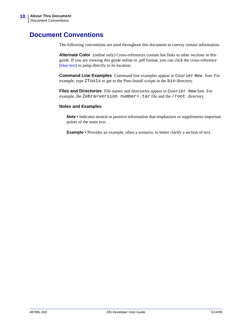# <span id="page-9-1"></span><span id="page-9-0"></span>**Document Conventions**

The following conventions are used throughout this document to convey certain information.

**Alternate Color** (online only) Cross-references contain hot links to other sections in this guide. If you are viewing this guide online in .pdf format, you can click the cross-reference (blue text) to jump directly to its location.

**Command Line Examples** Command line examples appear in Courier New font. For example, type ZTools to get to the Post-Install scripts in the bin directory.

**Files and Directories** File names and directories appear in Courier New font. For example, the Zebra<version number>.tar file and the /root directory.

#### **Notes and Examples**

**Note •** Indicates neutral or positive information that emphasizes or supplements important points of the main text.

**Example •** Provides an example, often a scenario, to better clarify a section of text.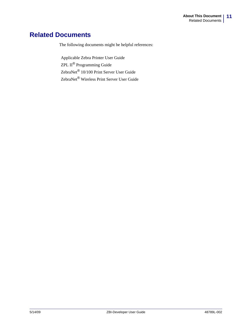# <span id="page-10-1"></span><span id="page-10-0"></span>**Related Documents**

The following documents might be helpful references:

Applicable Zebra Printer User Guide ZPL II*®* Programming Guide ZebraNet*®* 10/100 Print Server User Guide ZebraNet*®* Wireless Print Server User Guide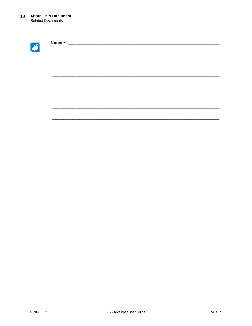| Notes • | <u> 1980 - Jan James James Barnett, amerikan basar pada 1990 - Jan James James James James James James James James James James James James James James James James James James James James James James James James James James J</u> |  |
|---------|--------------------------------------------------------------------------------------------------------------------------------------------------------------------------------------------------------------------------------------|--|
|         |                                                                                                                                                                                                                                      |  |
|         |                                                                                                                                                                                                                                      |  |
|         |                                                                                                                                                                                                                                      |  |
|         |                                                                                                                                                                                                                                      |  |
|         |                                                                                                                                                                                                                                      |  |
|         |                                                                                                                                                                                                                                      |  |
|         |                                                                                                                                                                                                                                      |  |
|         |                                                                                                                                                                                                                                      |  |
|         |                                                                                                                                                                                                                                      |  |
|         |                                                                                                                                                                                                                                      |  |
|         |                                                                                                                                                                                                                                      |  |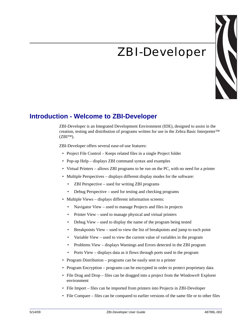# ZBI-Developer



# <span id="page-12-2"></span><span id="page-12-1"></span><span id="page-12-0"></span>**Introduction - Welcome to ZBI-Developer**

ZBI-Developer is an Integrated Development Environment (IDE), designed to assist in the creation, testing and distribution of programs written for use in the Zebra Basic Interpreter™ (ZBI™).

ZBI-Developer offers several ease-of-use features:

- Project File Control Keeps related files in a single Project folder
- Pop-up Help displays ZBI command syntax and examples
- Virtual Printers allows ZBI programs to be run on the PC, with no need for a printer
- Multiple Perspectives displays different display modes for the software:
	- ZBI Perspective used for writing ZBI programs
	- Debug Perspective used for testing and checking programs
- Multiple Views displays different information screens:
	- Navigator View used to manage Projects and files in projects
	- Printer View used to manage physical and virtual printers
	- Debug View used to display the name of the program being tested
	- Breakpoints View used to view the list of breakpoints and jump to each point
	- Variable View used to view the current value of variables in the program
	- Problems View displays Warnings and Errors detected in the ZBI program
	- Ports View displays data as it flows through ports used in the program
- Program Distribution programs can be easily sent to a printer
- Program Encryption programs can be encrypted in order to protect proprietary data
- File Drag and Drop files can be dragged into a project from the Windows® Explorer environment
- File Import files can be imported from printers into Projects in ZBI-Developer
- File Compare files can be compared to earlier versions of the same file or to other files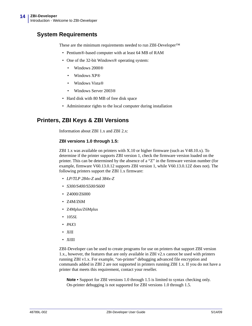# <span id="page-13-0"></span>**System Requirements**

These are the minimum requirements needed to run ZBI-Developer™

- Pentium<sup>®</sup>-based computer with at least 64 MB of RAM
- One of the 32-bit Windows® operating system:
	- Windows 2000®
	- Windows XP®
	- Windows Vista®
	- Windows Server 2003®
- Hard disk with 80 MB of free disk space
- Administrator rights to the local computer during installation

## <span id="page-13-1"></span>**Printers, ZBI Keys & ZBI Versions**

Information about ZBI 1.x and ZBI 2.x:

#### **ZBI versions 1.0 through 1.5:**

ZBI 1.x was available on printers with X.10 or higher firmware (such as V48.10.x). To determine if the printer supports ZBI version 1, check the firmware version loaded on the printer. This can be determined by the absence of a "Z" in the firmware version number (for example, firmware V60.13.0.12 supports ZBI version 1, while V60.13.0.12Z does not). The following printers support the ZBI 1.x firmware:

- *LP/TLP 284x-Z* and *384x-Z*
- *S300/S400/S500/S600*
- Z4000/Z6000
- Z4M/Z6M
- Z4Mplus/Z6Mplus
- 105*SL*
- *PAX*3
- *Xi*II
- *Xi*III

ZBI-Developer can be used to create programs for use on printers that support ZBI version 1.x., however, the features that are only available in ZBI v2.x cannot be used with printers running ZBI v1.x. For example, "on-printer" debugging advanced file encryption and commands added in ZBI 2 are not supported in printers running ZBI 1.x. If you do not have a printer that meets this requirement, contact your reseller.

**Note •** Support for ZBI versions 1.0 through 1.5 is limited to syntax checking only. On-printer debugging is not supported for ZBI versions 1.0 through 1.5.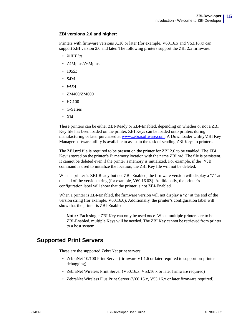#### **ZBI versions 2.0 and higher:**

Printers with firmware versions X.16 or later (for example, V60.16.x and V53.16.x) can support ZBI version 2.0 and later. The following printers support the ZBI 2.x firmware:

- *Xi*III*Plus*
- Z4Mplus/Z6Mplus
- 105*SL*
- S4M
- *PAX*4
- ZM400/ZM600
- HC100
- G-Series
- Xi4

These printers can be either ZBI-Ready or ZBI-Enabled, depending on whether or not a ZBI Key file has been loaded on the printer. ZBI Keys can be loaded onto printers during manufacturing or later purchased at www.zebrasoftware.com. A Downloader Utility/ZBI Key Manager software utility is available to assist in the task of sending ZBI Keys to printers.

The ZBI.nrd file is required to be present on the printer for ZBI 2.0 to be enabled. The ZBI Key is stored on the printer's E: memory location with the name ZBI.nrd. The file is persistent. It cannot be deleted even if the printer's memory is initialized. For example, if the  $\Delta$ JB command is used to initialize the location, the ZBI Key file will not be deleted.

When a printer is ZBI-Ready but not ZBI-Enabled, the firmware version will display a "Z" at the end of the version string (for example, V60.16.0Z). Additionally, the printer's configuration label will show that the printer is not ZBI-Enabled.

When a printer is ZBI-Enabled, the firmware version will not display a "Z" at the end of the version string (for example, V60.16.0). Additionally, the printer's configuration label will show that the printer is ZBI-Enabled.

**Note •** Each single ZBI Key can only be used once. When multiple printers are to be ZBI-Enabled, multiple Keys will be needed. The ZBI Key cannot be retrieved from printer to a host system.

### <span id="page-14-0"></span>**Supported Print Servers**

These are the supported ZebraNet print servers:

- ZebraNet 10/100 Print Server (firmware V1.1.6 or later required to support on-printer debugging)
- ZebraNet Wireless Print Server (V60.16.x, V53.16.x or later firmware required)
- ZebraNet Wireless Plus Print Server (V60.16.x, V53.16.x or later firmware required)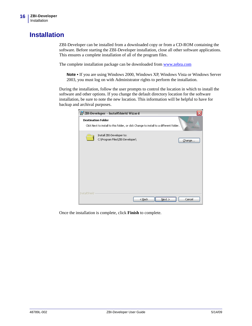# <span id="page-15-1"></span><span id="page-15-0"></span>**Installation**

ZBI-Developer can be installed from a downloaded copy or from a CD-ROM containing the software. Before starting the ZBI-Developer installation, close all other software applications. This ensures a complete installation of all of the program files.

The complete installation package can be downloaded from www.zebra.com

**Note •** If you are using Windows 2000, Windows XP, Windows Vista or Windows Server 2003, you must log on with Administrator rights to perform the installation.

During the installation, follow the user prompts to control the location in which to install the software and other options. If you change the default directory location for the software installation, be sure to note the new location. This information will be helpful to have for backup and archival purposes.

|                      | ZBI-Developer - InstallShield Wizard                                                                                 | x |
|----------------------|----------------------------------------------------------------------------------------------------------------------|---|
|                      | <b>Destination Folder</b><br>Click Next to install to this folder, or click Change to install to a different folder. |   |
|                      | Install ZBI-Developer to:<br>C:\Program Files\ZBI-Developer\<br>Change                                               |   |
| <b>InstallShield</b> | < <u>B</u> ack<br>Cancel<br>Next >                                                                                   |   |

Once the installation is complete, click **Finish** to complete.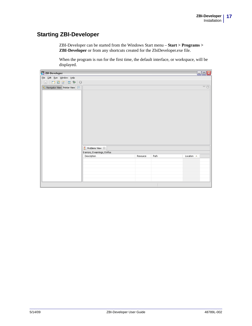## <span id="page-16-0"></span>**Starting ZBI-Developer**

ZBI-Developer can be started from the Windows Start menu – **Start > Programs > ZBI-Developer** or from any shortcuts created for the ZbiDeveloper.exe file.

When the program is run for the first time, the default interface, or workspace, will be displayed.

| ZBI ZBI-Developer                                                   |                                  |          |      | $\Box$ e $\times$         |
|---------------------------------------------------------------------|----------------------------------|----------|------|---------------------------|
| File Edit Run Window Help                                           |                                  |          |      |                           |
| 日 1 つ 口 合 目 本   〇                                                   |                                  |          |      |                           |
| $\overline{\mathcal{C}}$ Navigator View Printer View $\boxed{\Box}$ |                                  |          |      | 一日                        |
|                                                                     |                                  |          |      |                           |
|                                                                     |                                  |          |      |                           |
|                                                                     |                                  |          |      |                           |
|                                                                     |                                  |          |      |                           |
|                                                                     |                                  |          |      |                           |
|                                                                     |                                  |          |      |                           |
|                                                                     |                                  |          |      |                           |
|                                                                     |                                  |          |      |                           |
|                                                                     |                                  |          |      |                           |
|                                                                     |                                  |          |      |                           |
|                                                                     |                                  |          |      |                           |
|                                                                     |                                  |          |      |                           |
|                                                                     | $\frac{2}{4}$ Problems View $23$ |          |      |                           |
|                                                                     | 0 errors, 0 warnings, 0 infos    |          |      |                           |
|                                                                     | Description                      | Resource | Path | Location $\blacktriangle$ |
|                                                                     |                                  |          |      |                           |
|                                                                     |                                  |          |      |                           |
|                                                                     |                                  |          |      |                           |
|                                                                     |                                  |          |      |                           |
|                                                                     |                                  |          |      |                           |
|                                                                     |                                  |          |      |                           |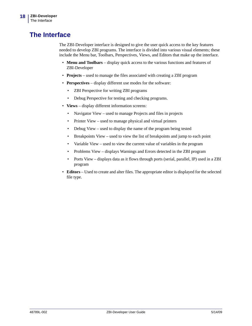# <span id="page-17-1"></span><span id="page-17-0"></span>**The Interface**

The ZBI-Developer interface is designed to give the user quick access to the key features needed to develop ZBI programs. The interface is divided into various visual elements; these include the Menu bar, Toolbars, Perspectives, Views, and Editors that make up the interface.

- **Menu and Toolbars** display quick access to the various functions and features of ZBI-Developer
- **Projects** used to manage the files associated with creating a ZBI program
- **Perspectives** display different use modes for the software:
	- ZBI Perspective for writing ZBI programs
	- Debug Perspective for testing and checking programs.
- **Views** display different information screens:
	- Navigator View used to manage Projects and files in projects
	- Printer View used to manage physical and virtual printers
	- Debug View used to display the name of the program being tested
	- Breakpoints View used to view the list of breakpoints and jump to each point
	- Variable View used to view the current value of variables in the program
	- Problems View displays Warnings and Errors detected in the ZBI program
	- Ports View displays data as it flows through ports (serial, parallel, IP) used in a ZBI program
- **Editors** Used to create and alter files. The appropriate editor is displayed for the selected file type.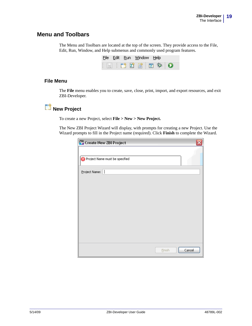## <span id="page-18-0"></span>**Menu and Toolbars**

The Menu and Toolbars are located at the top of the screen. They provide access to the File, Edit, Run, Window, and Help submenus and commonly used program features.



#### **File Menu**

The **File** menu enables you to create, save, close, print, import, and export resources, and exit ZBI-Developer.

# **New Project**

To create a new Project, select **File > New > New Project.** 

The New ZBI Project Wizard will display, with prompts for creating a new Project. Use the Wizard prompts to fill in the Project name (required). Click **Finish** to complete the Wizard.

| ZBI Create New ZBI Project     |
|--------------------------------|
|                                |
| Project Name must be specified |
| Project Name:                  |
|                                |
|                                |
|                                |
|                                |
|                                |
|                                |
|                                |
|                                |
| Cancel<br>Einish               |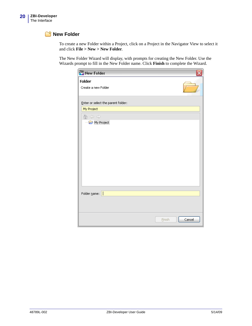#### **New Folder**

To create a new Folder within a Project, click on a Project in the Navigator View to select it and click **File > New > New Folder**.

The New Folder Wizard will display, with prompts for creating the New Folder. Use the Wizards prompt to fill in the New Folder name. Click **Finish** to complete the Wizard.

| ZBI New Folder                     |                  |
|------------------------------------|------------------|
| Folder<br>Create a new Folder      |                  |
| Enter or select the parent folder: |                  |
| My Project                         |                  |
| 伦 ⇔ ⇒                              |                  |
| My Project                         |                  |
|                                    |                  |
|                                    |                  |
|                                    |                  |
|                                    |                  |
|                                    |                  |
|                                    |                  |
|                                    |                  |
|                                    |                  |
|                                    |                  |
| Folder name:                       |                  |
|                                    |                  |
|                                    |                  |
|                                    |                  |
|                                    | Cancel<br>Einish |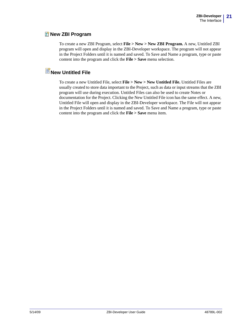#### **Z** New ZBI Program

To create a new ZBI Program, select **File > New > New ZBI Program.** A new, Untitled ZBI program will open and display in the ZBI-Developer workspace. The program will not appear in the Project Folders until it is named and saved. To Save and Name a program, type or paste content into the program and click the **File > Save** menu selection.

# **New Untitled File**

To create a new Untitled File, select **File > New > New Untitled File.** Untitled Files are usually created to store data important to the Project, such as data or input streams that the ZBI program will use during execution. Untitled Files can also be used to create Notes or documentation for the Project. Clicking the New Untitled File icon has the same effect. A new, Untitled File will open and display in the ZBI-Developer workspace. The File will not appear in the Project Folders until it is named and saved. To Save and Name a program, type or paste content into the program and click the **File > Save** menu item.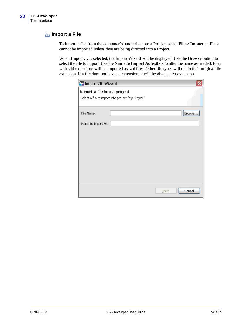## **Import a File**

To Import a file from the computer's hard drive into a Project, select **File > Import….** Files cannot be imported unless they are being directed into a Project.

When **Import…** is selected, the Import Wizard will be displayed. Use the **Browse** button to select the file to import. Use the **Name to Import As** textbox to alter the name as needed. Files with .zbi extensions will be imported as .zbi files. Other file types will retain their original file extension. If a file does not have an extension, it will be given a .txt extension.

| ZBI Import ZBI Wizard        |                                                   |                  |
|------------------------------|---------------------------------------------------|------------------|
| Import a file into a project |                                                   |                  |
|                              | Select a file to import into project "My Project" |                  |
| File Name:                   |                                                   | Browse           |
| Name to Import As:           |                                                   |                  |
|                              |                                                   |                  |
|                              |                                                   |                  |
|                              |                                                   |                  |
|                              |                                                   |                  |
|                              |                                                   |                  |
|                              |                                                   |                  |
|                              |                                                   |                  |
|                              |                                                   | Cancel<br>Finish |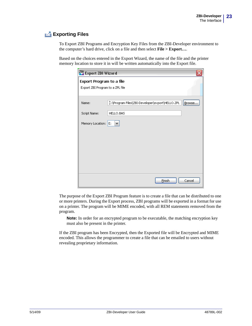## **Exporting Files**

To Export ZBI Programs and Encryption Key Files from the ZBI-Developer environment to the computer's hard drive, click on a file and then select **File > Export…**.

Based on the choices entered in the Export Wizard, the name of the file and the printer memory location to store it in will be written automatically into the Export file.

| ZBI Export ZBI Wizard            |                                                 |        |
|----------------------------------|-------------------------------------------------|--------|
| Export Program to a file         |                                                 |        |
| Export ZBI Program to a ZPL file |                                                 |        |
|                                  |                                                 |        |
| Name:                            | 늘:\Program Files\ZBI-Developer\export\HELLO.ZPL | Browse |
| Script Name:                     | HELLO.BAS                                       |        |
| Memory Location: E:              | $\checkmark$                                    |        |
|                                  |                                                 |        |
|                                  |                                                 |        |
|                                  |                                                 |        |
|                                  |                                                 |        |
|                                  |                                                 |        |
|                                  |                                                 |        |
|                                  | Einish                                          | Cancel |

The purpose of the Export ZBI Program feature is to create a file that can be distributed to one or more printers. During the Export process, ZBI programs will be exported in a format for use on a printer. The program will be MIME encoded, with all REM statements removed from the program.

**Note:** In order for an encrypted program to be executable, the matching encryption key must also be present in the printer.

If the ZBI program has been Encrypted, then the Exported file will be Encrypted and MIME encoded. This allows the programmer to create a file that can be emailed to users without revealing proprietary information.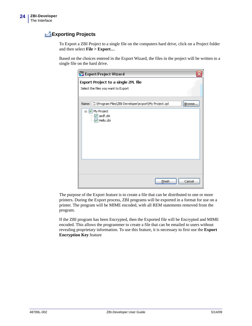## **Exporting Projects**

To Export a ZBI Project to a single file on the computers hard drive, click on a Project folder and then select **File > Export…**

Based on the choices entered in the Export Wizard, the files in the project will be written to a single file on the hard drive.

| ZBI Export Project Wizard                                                                                                                          |
|----------------------------------------------------------------------------------------------------------------------------------------------------|
| Export Project to a single ZPL file<br>Select the files you want to Export                                                                         |
| 는:\Program Files\ZBI-Developer\export\My Project.zpl<br>Name:<br>Browse<br>□ Ø My Project<br>$\triangledown$ asdf.zbi<br>$\triangledown$ Hello.zbi |
| Einish<br>Cancel                                                                                                                                   |

The purpose of the Export feature is to create a file that can be distributed to one or more printers. During the Export process, ZBI programs will be exported in a format for use on a printer. The program will be MIME encoded, with all REM statements removed from the program.

If the ZBI program has been Encrypted, then the Exported file will be Encrypted and MIME encoded. This allows the programmer to create a file that can be emailed to users without revealing proprietary information. To use this feature, it is necessary to first use the **Export Encryption Key** feature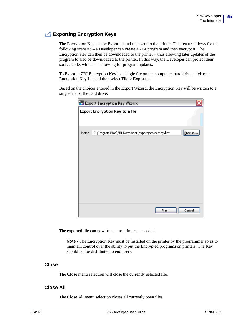## **Exporting Encryption Keys**

The Encryption Key can be Exported and then sent to the printer. This feature allows for the following scenario – a Developer can create a ZBI program and then encrypt it. The Encryption Key can then be downloaded to the printer – thus allowing later updates of the program to also be downloaded to the printer. In this way, the Developer can protect their source code, while also allowing for program updates.

To Export a ZBI Encryption Key to a single file on the computers hard drive, click on a Encryption Key file and then select **File > Export…**

Based on the choices entered in the Export Wizard, the Encryption Key will be written to a single file on the hard drive.

|       | ZBI Export Encryption Key Wizard                     |        |
|-------|------------------------------------------------------|--------|
|       | Export Encryption Key to a file                      |        |
| Name: | C:\Program Files\ZBI-Developer\export\projectKey.key | Browse |
|       | Einish                                               | Cancel |

The exported file can now be sent to printers as needed.

**Note •** The Encryption Key must be installed on the printer by the programmer so as to maintain control over the ability to put the Encrypted programs on printers. The Key should not be distributed to end users.

#### **Close**

The **Close** menu selection will close the currently selected file.

#### **Close All**

The **Close All** menu selection closes all currently open files.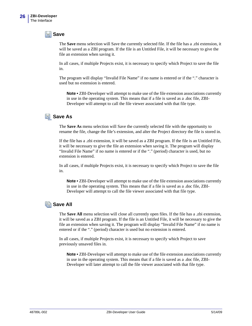#### **Save**

The **Save** menu selection will Save the currently selected file. If the file has a .zbi extension, it will be saved as a ZBI program. If the file is an Untitled File, it will be necessary to give the file an extension when saving it.

In all cases, if multiple Projects exist, it is necessary to specify which Project to save the file in.

The program will display "Invalid File Name" if no name is entered or if the "." character is used but no extension is entered.

**Note •** ZBI-Developer will attempt to make use of the file extension associations currently in use in the operating system. This means that if a file is saved as a .doc file, ZBI-Developer will attempt to call the file viewer associated with that file type.

## **Save As**

The **Save As** menu selection will Save the currently selected file with the opportunity to rename the file, change the file's extension, and alter the Project directory the file is stored in.

If the file has a .zbi extension, it will be saved as a ZBI program. If the file is an Untitled File, it will be necessary to give the file an extension when saving it. The program will display "Invalid File Name" if no name is entered or if the "." (period) character is used, but no extension is entered.

In all cases, if multiple Projects exist, it is necessary to specify which Project to save the file in.

**Note •** ZBI-Developer will attempt to make use of the file extension associations currently in use in the operating system. This means that if a file is saved as a .doc file, ZBI-Developer will attempt to call the file viewer associated with that file type.

### **Save All**

The **Save All** menu selection will close all currently open files. If the file has a .zbi extension, it will be saved as a ZBI program. If the file is an Untitled File, it will be necessary to give the file an extension when saving it. The program will display "Invalid File Name" if no name is entered or if the "." (period) character is used but no extension is entered.

In all cases, if multiple Projects exist, it is necessary to specify which Project to save previously unsaved files in.

**Note •** ZBI-Developer will attempt to make use of the file extension associations currently in use in the operating system. This means that if a file is saved as a .doc file, ZBI-Developer will later attempt to call the file viewer associated with that file type.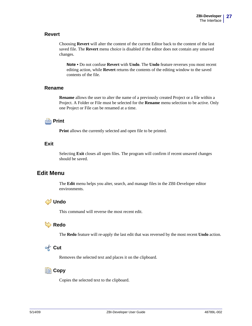#### **Revert**

Choosing **Revert** will alter the content of the current Editor back to the content of the last saved file. The **Revert** menu choice is disabled if the editor does not contain any unsaved changes.

**Note •** Do not confuse **Revert** with **Undo**. The **Undo** feature reverses you most recent editing action, while **Revert** returns the contents of the editing window to the saved contents of the file.

#### **Rename**

**Rename** allows the user to alter the name of a previously created Project or a file within a Project. A Folder or File must be selected for the **Rename** menu selection to be active. Only one Project or File can be renamed at a time.



**Print** allows the currently selected and open file to be printed.

#### **Exit**

Selecting **Exit** closes all open files. The program will confirm if recent unsaved changes should be saved.

### <span id="page-26-0"></span>**Edit Menu**

The **Edit** menu helps you alter, search, and manage files in the ZBI-Developer editor environments.

## **Undo**

This command will reverse the most recent edit.

#### **Redo**

The **Redo** feature will re-apply the last edit that was reversed by the most recent **Undo** action.

## **Cut**

Removes the selected text and places it on the clipboard.

#### **ED** Copy

Copies the selected text to the clipboard.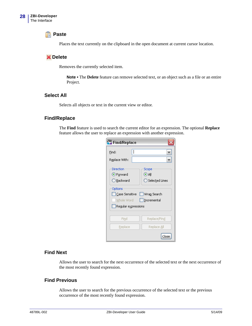#### **Paste**

Places the text currently on the clipboard in the open document at current cursor location.

#### **Delete**

Removes the currently selected item.

**Note •** The **Delete** feature can remove selected text, or an object such as a file or an entire Project.

#### **Select All**

Selects all objects or text in the current view or editor.

#### **Find/Replace**

The **Find** feature is used to search the current editor for an expression. The optional **Replace** feature allows the user to replace an expression with another expression.

| ZBI Find/Replace    |                            |
|---------------------|----------------------------|
| Find:               |                            |
| Replace With:       |                            |
| Direction           | Scope                      |
| <b>O</b> Forward    | ⊙all                       |
| ◯ <u>B</u> ackward  | ◯ Selected Lines           |
| Options             |                            |
|                     | Case Sensitive Wrap Search |
| Whole Word          | Incremental                |
| Regular expressions |                            |
|                     |                            |
| Find                | Replace/Find               |
| Replace             | Replace All                |
|                     |                            |

#### **Find Next**

Allows the user to search for the next occurrence of the selected text or the next occurrence of the most recently found expression.

#### **Find Previous**

Allows the user to search for the previous occurrence of the selected text or the previous occurrence of the most recently found expression.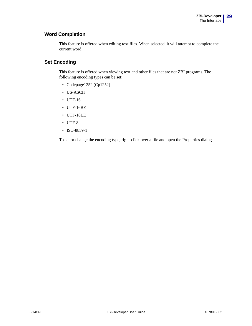#### **Word Completion**

This feature is offered when editing text files. When selected, it will attempt to complete the current word.

#### **Set Encoding**

This feature is offered when viewing text and other files that are not ZBI programs. The following encoding types can be set:

- Codepage1252 (Cp1252)
- US-ASCII
- UTF-16
- UTF-16BE
- UTF-16LE
- UTF-8
- ISO-8859-1

To set or change the encoding type, right-click over a file and open the Properties dialog.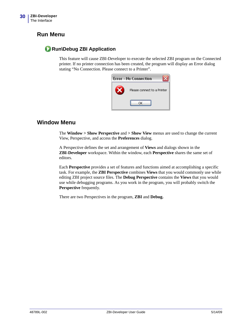## <span id="page-29-0"></span>**Run Menu**

## **Run\Debug ZBI Application**

This feature will cause ZBI-Developer to execute the selected ZBI program on the Connected printer. If no printer connection has been created, the program will display an Error dialog stating "No Connection. Please connect to a Printer".



### <span id="page-29-1"></span>**Window Menu**

The **Window > Show Perspective** and **> Show View** menus are used to change the current View, Perspective, and access the **Preferences** dialog.

A Perspective defines the set and arrangement of **Views** and dialogs shown in the **ZBI-Developer** workspace. Within the window, each **Perspective** shares the same set of editors.

Each **Perspective** provides a set of features and functions aimed at accomplishing a specific task. For example, the **ZBI Perspective** combines **Views** that you would commonly use while editing ZBI project source files. The **Debug Perspective** contains the **Views** that you would use while debugging programs. As you work in the program, you will probably switch the **Perspective** frequently.

There are two Perspectives in the program, **ZBI** and **Debug.**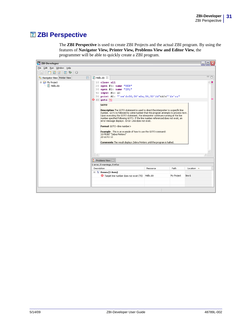# <span id="page-30-0"></span>**Z** ZBI Perspective

The **ZBI Perspective** is used to create ZBI Projects and the actual ZBI program. By using the features of **Navigator View, Printer View, Problems View and Editor View**, the programmer will be able to quickly create a ZBI program.

| ZBI ZBI-Developer                                |                                                                                                                                                                                                                                                                                                                                                                                                                                                                                                                                                                                                                                                                                                                                                                                                                                                                                                                                                                                                                                                                                                                        | ᅴᄆ      |
|--------------------------------------------------|------------------------------------------------------------------------------------------------------------------------------------------------------------------------------------------------------------------------------------------------------------------------------------------------------------------------------------------------------------------------------------------------------------------------------------------------------------------------------------------------------------------------------------------------------------------------------------------------------------------------------------------------------------------------------------------------------------------------------------------------------------------------------------------------------------------------------------------------------------------------------------------------------------------------------------------------------------------------------------------------------------------------------------------------------------------------------------------------------------------------|---------|
| File Edit Run Window Help                        |                                                                                                                                                                                                                                                                                                                                                                                                                                                                                                                                                                                                                                                                                                                                                                                                                                                                                                                                                                                                                                                                                                                        |         |
| 因:随团图 团参<br>$\Omega$                             |                                                                                                                                                                                                                                                                                                                                                                                                                                                                                                                                                                                                                                                                                                                                                                                                                                                                                                                                                                                                                                                                                                                        |         |
| 目<br><mark>दि</mark> Navigator View Printer View | $\mathbb{\Sigma}$ Hello, zbi $\mathbb{X}$                                                                                                                                                                                                                                                                                                                                                                                                                                                                                                                                                                                                                                                                                                                                                                                                                                                                                                                                                                                                                                                                              | $=$ $=$ |
| □ → My Project<br>Z Hello.zbi                    | 10 close all<br>20 open $#1$ : name "SER"<br>$30$ open $\#2$ : name "ZPL"<br>40 input #1: A\$<br>50 print #2: "^xa^fo50,50^a0n,50,50^fd"&A\$&"^fs^xz"<br>$\odot$ 60 goto 70<br><b>GOTO</b><br>Description The GOTO statement is used to direct the interpreter to a specific line<br>number. GOTO is followed by a line number that the program attempts to process next.<br>Upon executing the GOTO statement, the interpreter continues running at the line<br>number specified following GOTO. If the line number referenced does not exist, an<br>error message displays . Error: Line does not exist.<br>Format GOTO <line number=""><br/>Example . This is an example of how to use the GOTO command:<br/>10 PRINT "Zebra Printers"<br/>20 GOTO 10<br/>Comments The result displays Zebra Printers until the program is halted.<br/>Problems View &amp;<br/>1 error, 0 warnings, 0 infos<br/>Path<br/>Description<br/>Resource<br/>Location <math>\triangle</math><br/><math>\Box</math> <math>\Xi</math>: Errors (1 item)<br/>Target line number does not exist (70) Hello.zbi<br/>line 6<br/>My Project</line> |         |
|                                                  |                                                                                                                                                                                                                                                                                                                                                                                                                                                                                                                                                                                                                                                                                                                                                                                                                                                                                                                                                                                                                                                                                                                        |         |
|                                                  |                                                                                                                                                                                                                                                                                                                                                                                                                                                                                                                                                                                                                                                                                                                                                                                                                                                                                                                                                                                                                                                                                                                        |         |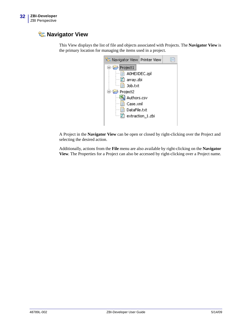# <span id="page-31-0"></span>**R<sub>a</sub>**-Navigator View

This View displays the list of file and objects associated with Projects. The **Navigator View** is the primary location for managing the items used in a project.



A Project in the **Navigator View** can be open or closed by right-clicking over the Project and selecting the desired action.

Additionally, actions from the **File** menu are also available by right-clicking on the **Navigator View**. The Properties for a Project can also be accessed by right-clicking over a Project name.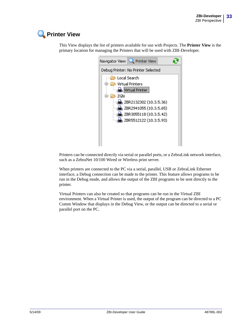# <span id="page-32-0"></span>**Printer View**



This View displays the list of printers available for use with Projects. The **Printer View** is the primary location for managing the Printers that will be used with ZBI-Developer.

Printers can be connected directly via serial or parallel ports, or a ZebraLink network interface, such as a ZebraNet 10/100 Wired or Wireless print server.

When printers are connected to the PC via a serial, parallel, USB or ZebraLink Ethernet interface, a Debug connection can be made to the printer. This feature allows programs to be run in the Debug mode, and allows the output of the ZBI programs to be sent directly to the printer.

Virtual Printers can also be created so that programs can be run in the Virtual ZBI environment. When a Virtual Printer is used, the output of the program can be directed to a PC Comm Window that displays in the Debug View, or the output can be directed to a serial or parallel port on the PC.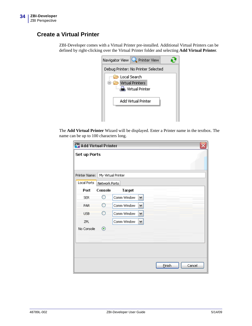# <span id="page-33-0"></span>**Create a Virtual Printer**

ZBI-Developer comes with a Virtual Printer pre-installed. Additional Virtual Printers can be defined by right-clicking over the Virtual Printer folder and selecting **Add Virtual Printer**.

| Navigator View Rinter View                                     |  |
|----------------------------------------------------------------|--|
| Debug Printer: No Printer Selected                             |  |
| <b>B</b> Local Search<br>□ Virtual Printers<br>Virtual Printer |  |
| Add Virtual Printer                                            |  |

The **Add Virtual Printer** Wizard will be displayed. Enter a Printer name in the textbox. The name can be up to 100 characters long.

| <b>ZBI</b> Add Virtual Printer |                    |             |              |        |        |
|--------------------------------|--------------------|-------------|--------------|--------|--------|
| <b>Set up Ports</b>            |                    |             |              |        |        |
| Printer Name:                  | My Virtual Printer |             |              |        |        |
| <b>Local Ports</b>             | Network Ports      |             |              |        |        |
| Port                           | Console            | Target      |              |        |        |
| <b>SER</b>                     | O                  | Comm Window | v            |        |        |
| PAR                            | ∩                  | Comm Window | ٧            |        |        |
| <b>USB</b>                     | Ω                  | Comm Window | $\checkmark$ |        |        |
| ZPL                            |                    | Comm Window | ٧            |        |        |
| No Console                     | $_{\odot}$         |             |              |        |        |
|                                |                    |             |              |        |        |
|                                |                    |             |              |        |        |
|                                |                    |             |              |        |        |
|                                |                    |             |              | Einish | Cancel |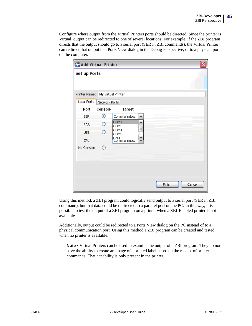Configure where output from the Virtual Printers ports should be directed. Since the printer is Virtual, output can be redirected to one of several locations. For example, if the ZBI program directs that the output should go to a serial port (SER in ZBI commands), the Virtual Printer can redirect that output to a Ports View dialog in the Debug Perspective, or to a physical port on the computer.

| ZBI Add Virtual Printer |                    |                     |          |                  |
|-------------------------|--------------------|---------------------|----------|------------------|
| <b>Set up Ports</b>     |                    |                     |          |                  |
| Printer Name:           | My Virtual Printer |                     |          |                  |
| Local Ports             | Network Ports      |                     |          |                  |
| Port                    | Console            | Target              |          |                  |
| <b>SER</b>              | ◉                  | Comm Window         | ٧        |                  |
| <b>PAR</b>              | Ο                  | COM1<br>COM3        | ۸        |                  |
| <b>USB</b>              | Ω                  | COM4<br>COM5        | $\equiv$ |                  |
| ZPL                     |                    | LPT1<br>Comm window | v        |                  |
| No Console              | ◯                  |                     |          |                  |
|                         |                    |                     |          |                  |
|                         |                    |                     |          |                  |
|                         |                    |                     |          |                  |
|                         |                    |                     |          |                  |
|                         |                    |                     |          | Einish<br>Cancel |

Using this method, a ZBI program could logically send output to a serial port (SER in ZBI command), but that data could be redirected to a parallel port on the PC. In this way, it is possible to test the output of a ZBI program on a printer when a ZBI-Enabled printer is not available.

Additionally, output could be redirected to a Ports View dialog on the PC instead of to a physical communication port. Using this method a ZBI program can be created and tested when no printer is available.

**Note •** Virtual Printers can be used to examine the output of a ZBI program. They do not have the ability to create an image of a printed label based on the receipt of printer commands. That capability is only present in the printer.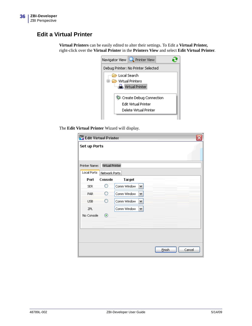## <span id="page-35-0"></span>**Edit a Virtual Printer**

**Virtual Printers** can be easily edited to alter their settings. To Edit a **Virtual Printer,**  right-click over the **Virtual Printer** in the **Printers View** and select **Edit Virtual Printer**.



The **Edit Virtual Printer** Wizard will display.

| <b>Set up Ports</b><br>Printer Name:<br>Local Ports<br>Port<br><b>SER</b><br>PAR<br><b>USB</b><br>ZPL | Virtual Printer<br>Network Ports<br>Console |             |                      |        |  |        |
|-------------------------------------------------------------------------------------------------------|---------------------------------------------|-------------|----------------------|--------|--|--------|
|                                                                                                       |                                             |             |                      |        |  |        |
|                                                                                                       |                                             |             |                      |        |  |        |
|                                                                                                       |                                             |             |                      |        |  |        |
|                                                                                                       |                                             | Target      |                      |        |  |        |
|                                                                                                       | O                                           | Comm Window | $\blacktriangledown$ |        |  |        |
|                                                                                                       | O                                           | Comm Window | $\checkmark$         |        |  |        |
|                                                                                                       | $\bigcirc$                                  | Comm Window | v                    |        |  |        |
|                                                                                                       |                                             | Comm Window | $\checkmark$         |        |  |        |
| No Console                                                                                            | ◉                                           |             |                      |        |  |        |
|                                                                                                       |                                             |             |                      |        |  |        |
|                                                                                                       |                                             |             |                      |        |  |        |
|                                                                                                       |                                             |             |                      |        |  |        |
|                                                                                                       |                                             |             |                      |        |  |        |
|                                                                                                       |                                             |             |                      | Einish |  | Cancel |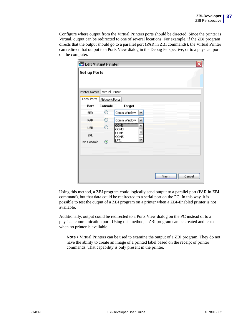Configure where output from the Virtual Printers ports should be directed. Since the printer is Virtual, output can be redirected to one of several locations. For example, if the ZBI program directs that the output should go to a parallel port (PAR in ZBI commands), the Virtual Printer can redirect that output to a Ports View dialog in the Debug Perspective, or to a physical port on the computer.

| <b>ZBI</b> Edit Virtual Printer |                 |              |              |                  |
|---------------------------------|-----------------|--------------|--------------|------------------|
| <b>Set up Ports</b>             |                 |              |              |                  |
| Printer Name:                   | Virtual Printer |              |              |                  |
| <b>Local Ports</b>              | Network Ports   |              |              |                  |
| Port                            | Console         | Target       |              |                  |
| <b>SER</b>                      | O               | Comm Window  | v            |                  |
| PAR                             | Ω               | Comm Window  | $\checkmark$ |                  |
| <b>USB</b>                      | ∩               | COM1<br>COM3 | ۸            |                  |
| ZPL                             |                 | COM4<br>COM5 | $\equiv$     |                  |
| No Console                      | $^\circledR$    | LPT1         | ٧            |                  |
|                                 |                 |              |              |                  |
|                                 |                 |              |              |                  |
|                                 |                 |              |              |                  |
|                                 |                 |              |              |                  |
|                                 |                 |              |              | Einish<br>Cancel |

Using this method, a ZBI program could logically send output to a parallel port (PAR in ZBI command), but that data could be redirected to a serial port on the PC. In this way, it is possible to test the output of a ZBI program on a printer when a ZBI-Enabled printer is not available.

Additionally, output could be redirected to a Ports View dialog on the PC instead of to a physical communication port. Using this method, a ZBI program can be created and tested when no printer is available.

**Note •** Virtual Printers can be used to examine the output of a ZBI program. They do not have the ability to create an image of a printed label based on the receipt of printer commands. That capability is only present in the printer.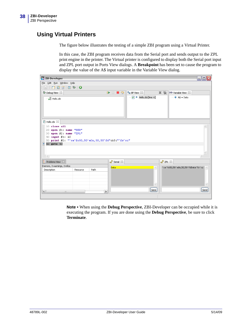## **Using Virtual Printers**

The figure below illustrates the testing of a simple ZBI program using a Virtual Printer.

In this case, the ZBI program receives data from the Serial port and sends output to the ZPL print engine in the printer. The Virtual printer is configured to display both the Serial port input and ZPL port output in Ports View dialogs. A **Breakpoint** has been set to cause the program to display the value of the A\$ input variable in the Variable View dialog.

| ZBI ZBI-Developer                                                                                                                                                                                               | $\blacksquare$ $\blacksquare$ $\times$                                                                                 |
|-----------------------------------------------------------------------------------------------------------------------------------------------------------------------------------------------------------------|------------------------------------------------------------------------------------------------------------------------|
| File Edit Run Window Help                                                                                                                                                                                       |                                                                                                                        |
|                                                                                                                                                                                                                 |                                                                                                                        |
| 梦 Debug View 83                                                                                                                                                                                                 | $x \approx$<br>$\bullet$ BP View $23$<br>$\blacksquare$ $\blacksquare$ $\heartsuit$<br>$(x)$ Variable View $\boxtimes$ |
| Hello, zbi                                                                                                                                                                                                      | $\nabla$ $\Theta$ Hello.zbi [line: 6]<br>$\rightarrow$ A\$ = Data                                                      |
| $2$ Hello.zbi $23$                                                                                                                                                                                              |                                                                                                                        |
| $10$ close all<br>$20$ open #1: name "SER"<br>$30$ open $#2$ : name "ZPL"<br>40 input #1: A\$<br>50 print #2: "^xa^fo50,50^a0n,50,50^fd"&A\$&"^fs^xz"<br>60 goto 40<br>$\overline{\left\langle \right\rangle }$ |                                                                                                                        |
| <b>Problems View</b> $\boxtimes$                                                                                                                                                                                | → Serial ⊠<br>→ ZPL ¤                                                                                                  |
| 0 errors, 0 warnings, 0 infos                                                                                                                                                                                   | ^xa^fo50,50^a0n,50,50^fdData^fs^xz<br>Data                                                                             |
| Path<br>Description<br>Resource<br>$\left  \right $<br>$\rightarrow$<br>$\mathop{\mathrm{HH}}\nolimits$                                                                                                         | Send<br>Send                                                                                                           |
|                                                                                                                                                                                                                 |                                                                                                                        |

**Note •** When using the **Debug Perspective**, ZBI-Developer can be occupied while it is executing the program. If you are done using the **Debug Perspective**, be sure to click **Terminate**.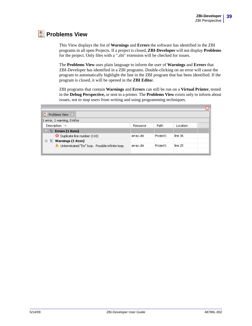# **Problems View**

This View displays the list of **Warnings** and **Errors** the software has identified in the ZBI programs in all open Projects. If a project is closed, **ZBI-Developer** will not display **Problems** for the project. Only files with a ".zbi" extension will be checked for issues.

The **Problems View** uses plain language to inform the user of **Warnings** and **Errors** that ZBI-Developer has identified in a ZBI programs. Double-clicking on an error will cause the program to automatically highlight the line in the ZBI program that has been identified. If the program is closed, it will be opened in the **ZBI Edito**r.

ZBI programs that contain **Warnings** and **Errors** can still be run on a **Virtual Printer**, tested in the **Debug Perspective,** or sent to a printer. The **Problems View** exists only to inform about issues, not to stop users from writing and using programming techniques.

| <b>A</b> Problems View $\%$                     |           |          |          |
|-------------------------------------------------|-----------|----------|----------|
| 1 error, 1 warning, 0 infos                     |           |          |          |
| Description $\triangle$                         | Resource  | Path.    | Location |
| $\Box$ $\equiv$ Errors (1 item)                 |           |          |          |
| Duplicate line number (110)                     | array.zbi | Project1 | line 36  |
| $E:$ Warnings (1 item)<br>U                     |           |          |          |
| Unterminated "Do" loop. Possible infinite loop. | array.zbi | Project1 | line 25  |
|                                                 |           |          |          |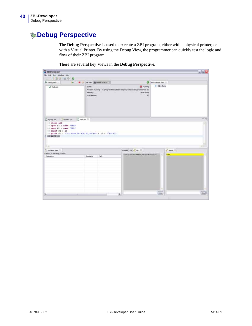# **Debug Perspective**

The **Debug Perspective** is used to execute a ZBI program, either with a physical printer, or with a Virtual Printer. By using the Debug View, the programmer can quickly test the logic and flow of their ZBI program.

|  | There are several key Views in the Debug Perspective. |  |  |  |  |  |  |  |
|--|-------------------------------------------------------|--|--|--|--|--|--|--|
|--|-------------------------------------------------------|--|--|--|--|--|--|--|

| <sup>71</sup> ZIII Developer                                                                                                                                                                                    |                                           |        |                                                                                                                        |                                     |                 | <b>国国区</b> |
|-----------------------------------------------------------------------------------------------------------------------------------------------------------------------------------------------------------------|-------------------------------------------|--------|------------------------------------------------------------------------------------------------------------------------|-------------------------------------|-----------------|------------|
| File Edit Run Wridow Holp                                                                                                                                                                                       |                                           |        |                                                                                                                        |                                     |                 |            |
| - 行型上出车0                                                                                                                                                                                                        |                                           |        |                                                                                                                        |                                     |                 |            |
| C Debug Verri II  ID  III O   BF Verri Di Preser Status                                                                                                                                                         |                                           |        |                                                                                                                        | <sup>2</sup> 00- Variable View III. |                 |            |
| -all helouts                                                                                                                                                                                                    | <b>State:</b><br>Mettory:<br>Line Number: |        | <b>B</b> Running<br>Program Running: C:(Program Film)(20) Ceveloper (workspace(wyproject)/w8o.zbi<br>14030 Bybes<br>60 | $A1 - Data$                         |                 |            |
| Chesprogute   Twydata.cov 20 helicute 31<br>10 close all<br>10 open #1 : name "SER"<br>30 open #2 : name "2PL"<br>40 input #1 : A7<br>IN print #2 : ""XA'FOSO, SO"AON, SO, SO"FD" : AS & ""FS'XZ"<br>60 GOTO 40 |                                           |        |                                                                                                                        |                                     |                 | 高口         |
|                                                                                                                                                                                                                 |                                           |        |                                                                                                                        |                                     |                 |            |
| T: Problems View 22                                                                                                                                                                                             |                                           |        | Parallel USB - DR. 22                                                                                                  |                                     | $2$ Serial $22$ |            |
| Demors, D warrings, D infos.<br>Description                                                                                                                                                                     | Resturce                                  | Path   | "SA" FOSILS0" ADM, SILS0" FED at a" FS" 12                                                                             |                                     | Data            |            |
|                                                                                                                                                                                                                 |                                           |        |                                                                                                                        |                                     |                 |            |
| $\left  \mathcal{L} \right $<br>m                                                                                                                                                                               |                                           | $\sim$ |                                                                                                                        | Send.                               |                 | Send.      |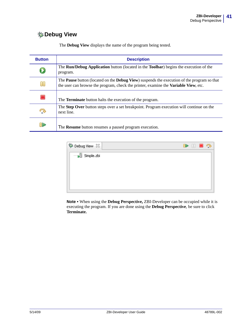# **Debug View**

| <b>Button</b> | <b>Description</b>                                                                                                                                                                        |
|---------------|-------------------------------------------------------------------------------------------------------------------------------------------------------------------------------------------|
|               | The <b>Run/Debug Application</b> button (located in the <b>Toolbar</b> ) begins the execution of the<br>program.                                                                          |
|               | The Pause button (located on the Debug View) suspends the execution of the program so that<br>the user can browse the program, check the printer, examine the <b>Variable View</b> , etc. |
|               | The <b>Terminate</b> button halts the execution of the program.                                                                                                                           |
|               | The Step Over button steps over a set breakpoint. Program execution will continue on the<br>next line.                                                                                    |
| IÞ            | The <b>Resume</b> button resumes a paused program execution.                                                                                                                              |

The **Debug View** displays the name of the program being tested.

| 梦 Debug View 83 | 8 B R S |  |  |
|-----------------|---------|--|--|
| Simple.zbi      |         |  |  |
|                 |         |  |  |
|                 |         |  |  |
|                 |         |  |  |
|                 |         |  |  |

**Note •** When using the **Debug Perspective,** ZBI-Developer can be occupied while it is executing the program. If you are done using the **Debug Perspective**, be sure to click **Terminate.**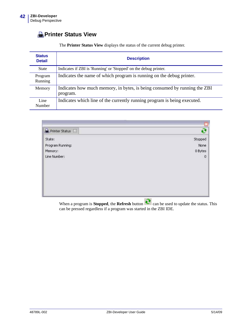# **Printer Status View**

| The <b>Printer Status View</b> displays the status of the current debug printer. |  |
|----------------------------------------------------------------------------------|--|
|                                                                                  |  |

| <b>Status</b><br><b>Detail</b> | <b>Description</b>                                                                    |
|--------------------------------|---------------------------------------------------------------------------------------|
| <b>State</b>                   | Indicates if ZBI is 'Running' or 'Stopped' on the debug printer.                      |
| Program<br>Running             | Indicates the name of which program is running on the debug printer.                  |
| Memory                         | Indicates how much memory, in bytes, is being consumed by running the ZBI<br>program. |
| Line<br>Number                 | Indicates which line of the currently running program is being executed.              |

|                  | $\mathbf x$             |
|------------------|-------------------------|
| Printer Status X | ē                       |
| State:           | Stopped<br>None         |
| Program Running: |                         |
| Memory:          | 0 Bytes                 |
| Line Number:     | $\overline{0}$          |
|                  | the control of the con- |

When a program is **Stopped**, the **Refresh** button  $\mathbb{C}$  can be used to update the status. This can be pressed regardless if a program was started in the ZBI IDE.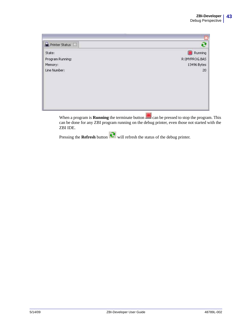| Printer Status X |                       |
|------------------|-----------------------|
| State:           | Running<br><b>ISS</b> |
| Program Running: | R:\MYPROG.BAS         |
| Memory:          | 13496 Bytes           |
| Line Number:     | 20                    |
|                  |                       |
|                  |                       |
|                  |                       |
|                  |                       |
|                  |                       |
|                  |                       |

When a program is **Running** the terminate button can be pressed to stop the program. This can be done for any ZBI program running on the debug printer, even those not started with the ZBI IDE.

Pressing the **Refresh** button **R** will refresh the status of the debug printer.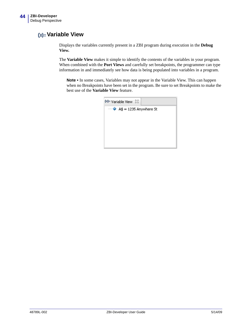## **Variable View**

Displays the variables currently present in a ZBI program during execution in the **Debug View.**

The **Variable View** makes it simple to identify the contents of the variables in your program. When combined with the **Port Views** and carefully set breakpoints, the programmer can type information in and immediately see how data is being populated into variables in a program.

**Note •** In some cases, Variables may not appear in the Variable View. This can happen when no Breakpoints have been set in the program. Be sure to set Breakpoints to make the best use of the **Variable View** feature.

| $(x)$ Variable View $23$             |
|--------------------------------------|
| $\rightarrow$ A\$ = 1235 Anywhere St |
|                                      |
|                                      |
|                                      |
|                                      |
|                                      |
|                                      |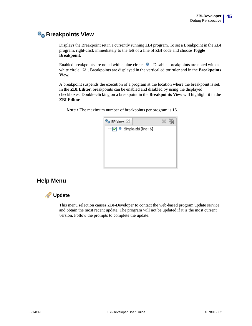## **Breakpoints View**

Displays the Breakpoint set in a currently running ZBI program. To set a Breakpoint in the ZBI program, right-click immediately to the left of a line of ZBI code and choose **Toggle Breakpoint**.

Enabled breakpoints are noted with a blue circle  $\bullet$ . Disabled breakpoints are noted with a white circle  $\Box$ . Breakpoints are displayed in the vertical editor ruler and in the **Breakpoints View.**

A breakpoint suspends the execution of a program at the location where the breakpoint is set. In the **ZBI Editor**, breakpoints can be enabled and disabled by using the displayed checkboxes. Double-clicking on a breakpoint in the **Breakpoints View** will highlight it in the **ZBI Editor**.

**Note •** The maximum number of breakpoints per program is 16.



## **Help Menu**



This menu selection causes ZBI-Developer to contact the web-based program update service and obtain the most recent update. The program will not be updated if it is the most current version. Follow the prompts to complete the update.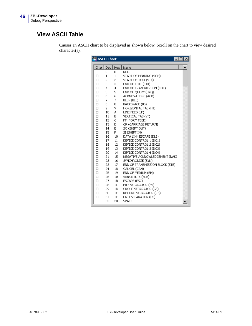# **View ASCII Table**

| <b>A</b> SCII Chart<br>$\Box$ |              |            |                                 |  |
|-------------------------------|--------------|------------|---------------------------------|--|
|                               |              |            |                                 |  |
| Char                          | Dec          | <b>Hex</b> | Name                            |  |
|                               | 0            | 0          | <b>NULL</b>                     |  |
| □                             | $\mathbf{1}$ | 1          | START OF HEADING (SOH)          |  |
| $\Box$                        | 2            | 2          | START OF TEXT (STX)             |  |
| □                             | 3            | 3          | END OF TEXT (ETX)               |  |
| $\Box$                        | 4            | 4          | END OF TRANSMISSION (EOT)       |  |
| $\Box$                        | 5            | 5          | END OF QUERY (ENQ)              |  |
| $\Box$                        | 6            | 6          | ACKNOWLEDGE (ACK)               |  |
| $\Box$                        | 7            | 7          | BEEP (BEL)                      |  |
| $\Box$                        | 8            | 8          | BACKSPACE (BS)                  |  |
| $\Box$                        | 9.           | 9          | HORIZONTAL TAB (HT)             |  |
| $\Box$                        | 10           | А          | LINE FEED (LF)                  |  |
| $\Box$                        | 11           | в          | VERTICAL TAB (VT)               |  |
| $\Box$                        | 12           | C          | FF (FORM FEED)                  |  |
| $\Box$                        | 13           | D          | CR (CARRIAGE RETURN)            |  |
| $\Box$                        | 14           | E          | SO (SHIFT OUT)                  |  |
| $\Box$                        | 15           | F.         | SI (SHIFT IN)                   |  |
| $\Box$                        | 16           | 10         | DATA LINK ESCAPE (DLE)          |  |
| $\Box$                        | 17           | 11         | DEVICE CONTROL 1 (DC1)          |  |
| $\Box$                        | 18           | 12         | DEVICE CONTROL 2 (DC2)          |  |
| $\Box$                        | 19           | 13         | DEVICE CONTROL 3 (DC3)          |  |
| $\Box$                        | 20           | 14         | DEVICE CONTROL 4 (DC4)          |  |
| $\Box$                        | 21           | 15         | NEGATIVE ACKNOWLEDGEMENT (NAK)  |  |
| $\Box$                        | 22           | 16         | SYNCHRONIZE (SYN)               |  |
| $\Box$                        | 23           | 17         | END OF TRANSMISSION BLOCK (ETB) |  |
| $\Box$                        | 24           | 18         | CANCEL (CAN)                    |  |
| $\Box$                        | 25           | 19         | END OF MEDIUM (EM)              |  |
| $\Box$                        | 26           | 1A         | SUBSTITUTE (SUB)                |  |
| □                             | 27           | 1B         | ESCAPE (ESC)                    |  |
| $\Box$                        | 28           | 1C         | FILE SEPARATOR (FS)             |  |
| $\Box$                        | 29           | 1D         | GROUP SEPARATOR (GS)            |  |
| $\Box$                        | 30           | 1E         | RECORD SEPARATOR (RS)           |  |
| $\Box$                        | 31           | 1F         | UNIT SEPARATOR (US)             |  |
|                               | 32           | 20         | <b>SPACE</b>                    |  |

Causes an ASCII chart to be displayed as shown below. Scroll on the chart to view desired character(s).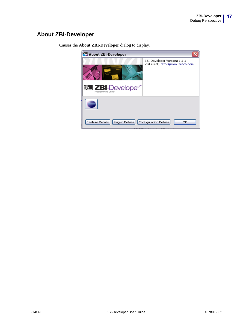## **About ZBI-Developer**



Causes the **About ZBI-Developer** dialog to display.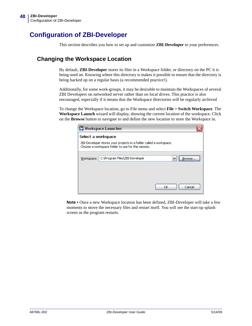# **Configuration of ZBI-Developer**

This section describes you how to set up and customize **ZBI**-**Developer** to your preferences.

### **Changing the Workspace Location**

By default, **ZBI-Developer** stores its files in a Workspace folder, or directory on the PC it is being used on. Knowing where this directory is makes it possible to ensure that the directory is being backed up on a regular basis (a recommended practice!).

Additionally, for some work-groups, it may be desirable to maintain the Workspaces of several ZBI Developers on networked server rather than on local drives. This practice is also encouraged, especially if it means that the Workspace directories will be regularly archived

To change the Workspace location, go to File menu and select **File > Switch Workspace**. The **Workspace Launch** wizard will display, showing the current location of the workspace. Click on the **Browse** button to navigate to and define the new location to store the Workspace in.

|                    | ZBI Workspace Launcher                                                                                                   |
|--------------------|--------------------------------------------------------------------------------------------------------------------------|
| Select a workspace |                                                                                                                          |
|                    | ZBI-Developer stores your projects in a folder called a workspace.<br>Choose a workspace folder to use for this session. |
|                    |                                                                                                                          |
| Workspace:         | C:\Program Files\ZBI-Developer<br>Browse                                                                                 |
|                    |                                                                                                                          |
|                    |                                                                                                                          |
|                    |                                                                                                                          |
|                    |                                                                                                                          |
|                    | Cancel<br>ОК                                                                                                             |

**Note •** Once a new Workspace location has been defined, ZBI-Developer will take a few moments to move the necessary files and restart itself. You will see the start-up splash screen as the program restarts.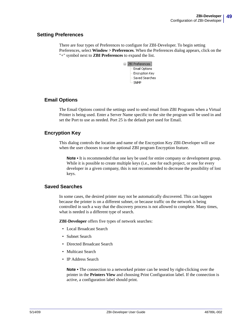### **Setting Preferences**

There are four types of Preferences to configure for ZBI-Developer. To begin setting Preferences, select **Window > Preferences**. When the Preferences dialog appears, click on the "+" symbol next to **ZBI Preferences** to expand the list.

| □ ZBI Preferences |
|-------------------|
| -- Email Options  |
| — Encryption Key  |
| Saved Searches    |
| ≔ SNMP            |
|                   |

### **Email Options**

The Email Options control the settings used to send email from ZBI Programs when a Virtual Printer is being used. Enter a Server Name specific to the site the program will be used in and set the Port to use as needed. Port 25 is the default port used for Email.

### **Encryption Key**

This dialog controls the location and name of the Encryption Key ZBI-Developer will use when the user chooses to use the optional ZBI program Encryption feature.

**Note •** It is recommended that one key be used for entire company or development group. While it is possible to create multiple keys (i.e., one for each project, or one for every developer in a given company, this is not recommended to decrease the possibility of lost keys.

### **Saved Searches**

In some cases, the desired printer may not be automatically discovered. This can happen because the printer is on a different subnet, or because traffic on the network is being controlled in such a way that the discovery process is not allowed to complete. Many times, what is needed is a different type of search.

**ZBI-Developer** offers five types of network searches:

- Local Broadcast Search
- Subnet Search
- Directed Broadcast Search
- Multicast Search
- IP Address Search

**Note •** The connection to a networked printer can be tested by right-clicking over the printer in the **Printers View** and choosing Print Configuration label. If the connection is active, a configuration label should print.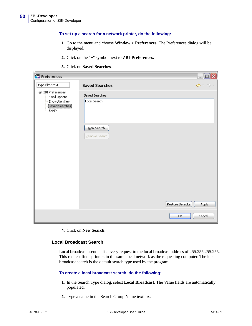#### **To set up a search for a network printer, do the following:**

- **1.** Go to the menu and choose **Window > Preferences**. The Preferences dialog will be displayed.
- **2.** Click on the "+" symbol next to **ZBI-Preferences.**
- **3.** Click on **Saved Searches**.

| <b>ZBI Preferences</b>                                                                |                                                                | $ \Box$ $\times$                                            |
|---------------------------------------------------------------------------------------|----------------------------------------------------------------|-------------------------------------------------------------|
| type filter text                                                                      | <b>Saved Searches</b>                                          | $\Leftrightarrow$ $\Rightarrow$ $\Rightarrow$ $\Rightarrow$ |
| <b>□ ZBI Preferences</b><br>Email Options<br>Encryption Key<br>Saved Searches<br>SNMP | Saved Searches:<br>Local Search<br>New Search<br>Remove Search |                                                             |
|                                                                                       | Restore Defaults<br>ОК                                         | Apply<br>Cancel                                             |

**4.** Click on **New Search**.

#### **Local Broadcast Search**

Local broadcasts send a discovery request to the local broadcast address of 255.255.255.255. This request finds printers in the same local network as the requesting computer. The local broadcast search is the default search type used by the program.

#### **To create a local broadcast search, do the following:**

- **1.** In the Search Type dialog, select **Local Broadcast**. The Value fields are automatically populated.
- **2.** Type a name in the Search Group Name textbox.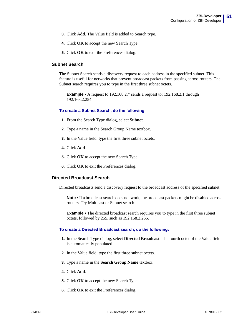- **3.** Click **Add**. The Value field is added to Search type.
- **4.** Click **OK** to accept the new Search Type.
- **5.** Click **OK** to exit the Preferences dialog.

#### **Subnet Search**

The Subnet Search sends a discovery request to each address in the specified subnet. This feature is useful for networks that prevent broadcast packets from passing across routers. The Subnet search requires you to type in the first three subnet octets.

**Example •** A request to 192.168.2.\* sends a request to: 192.168.2.1 through 192.168.2.254.

#### **To create a Subnet Search, do the following:**

- **1.** From the Search Type dialog, select **Subnet**.
- **2.** Type a name in the Search Group Name textbox.
- **3.** In the Value field, type the first three subnet octets.
- **4.** Click **Add**.
- **5.** Click **OK** to accept the new Search Type.
- **6.** Click **OK** to exit the Preferences dialog.

#### **Directed Broadcast Search**

Directed broadcasts send a discovery request to the broadcast address of the specified subnet.

**Note •** If a broadcast search does not work, the broadcast packets might be disabled across routers. Try Multicast or Subnet search.

**Example •** The directed broadcast search requires you to type in the first three subnet octets, followed by 255, such as 192.168.2.255.

#### **To create a Directed Broadcast search, do the following:**

- **1.** In the Search Type dialog, select **Directed Broadcast**. The fourth octet of the Value field is automatically populated.
- **2.** In the Value field, type the first three subnet octets.
- **3.** Type a name in the **Search Group Name** textbox.
- **4.** Click **Add**.
- **5.** Click **OK** to accept the new Search Type.
- **6.** Click **OK** to exit the Preferences dialog.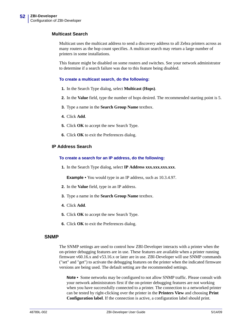#### **Multicast Search**

Multicast uses the multicast address to send a discovery address to all Zebra printers across as many routers as the hop count specifies. A multicast search may return a large number of printers in some installations.

This feature might be disabled on some routers and switches. See your network administrator to determine if a search failure was due to this feature being disabled.

#### **To create a multicast search, do the following:**

- **1.** In the Search Type dialog, select **Multicast (Hops)**.
- **2.** In the **Value** field, type the number of hops desired. The recommended starting point is 5.
- **3.** Type a name in the **Search Group Name** textbox.
- **4.** Click **Add**.
- **5.** Click **OK** to accept the new Search Type.
- **6.** Click **OK** to exit the Preferences dialog.

#### **IP Address Search**

#### **To create a search for an IP address, do the following:**

**1.** In the Search Type dialog, select **IP Address xxx.xxx.xxx.xxx**.

**Example •** You would type in an IP address, such as 10.3.4.97.

- **2.** In the **Value** field, type in an IP address.
- **3.** Type a name in the **Search Group Name** textbox.
- **4.** Click **Add**.
- **5.** Click **OK** to accept the new Search Type.
- **6.** Click **OK** to exit the Preferences dialog.

#### **SNMP**

The SNMP settings are used to control how ZBI-Developer interacts with a printer when the on-printer debugging features are in use. These features are available when a printer running firmware v60.16.x and v53.16.x or later are in use. ZBI-Developer will use SNMP commands ("set" and "get") to activate the debugging features on the printer when the indicated firmware versions are being used. The default setting are the recommended settings.

**Note •** Some networks may be configured to not allow SNMP traffic. Please consult with your network administrators first if the on-printer debugging features are not working when you have successfully connected to a printer. The connection to a networked printer can be tested by right-clicking over the printer in the **Printers View** and choosing **Print Configuration label**. If the connection is active, a configuration label should print.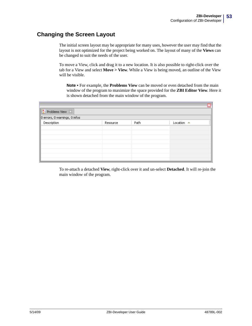## **Changing the Screen Layout**

The initial screen layout may be appropriate for many uses, however the user may find that the layout is not optimized for the project being worked on. The layout of many of the **Views** can be changed to suit the needs of the user.

To move a View, click and drag it to a new location. It is also possible to right-click over the tab for a View and select **Move > View**. While a View is being moved, an outline of the View will be visible.

**Note •** For example, the **Problems View** can be moved or even detached from the main window of the program to maximize the space provided for the **ZBI Editor View**. Here it is shown detached from the main window of the program.

| <b>R</b> Problems View X      |          |      |                      |  |  |
|-------------------------------|----------|------|----------------------|--|--|
| 0 errors, 0 warnings, 0 infos |          |      |                      |  |  |
| Description                   | Resource | Path | Location $\triangle$ |  |  |
|                               |          |      |                      |  |  |
|                               |          |      |                      |  |  |
|                               |          |      |                      |  |  |
|                               |          |      |                      |  |  |
|                               |          |      |                      |  |  |
|                               |          |      |                      |  |  |
|                               |          |      |                      |  |  |

To re-attach a detached **View**, right-click over it and un-select **Detached**. It will re-join the main window of the program.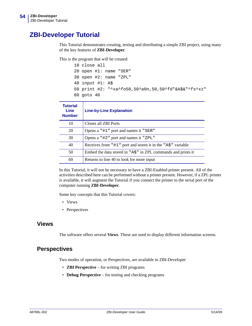# **ZBI-Developer Tutorial**

This Tutorial demonstrates creating, testing and distributing a simple ZBI project, using many of the key features of **ZBI**-**Developer**.

This is the program that will be created:

| 10 close all                                         |
|------------------------------------------------------|
| $20$ open $\#1$ : name "SER"                         |
| $30$ open $#2:$ name "ZPL"                           |
| 40 input $#1: AS$                                    |
| 50 print #2: "^xa^fo50,50^a0n,50,50^fd"&A\$&"^fs^xz" |
| $60$ qoto $40$                                       |

| <b>Tutorial</b><br>Line<br><b>Number</b> | <b>Line-by-Line Explanation</b>                                       |
|------------------------------------------|-----------------------------------------------------------------------|
| 10                                       | Closes all ZBI Ports                                                  |
| 20                                       | Opens a "#1" port and names it "SER"                                  |
| 30                                       | Opens a "#2" port and names it "ZPL"                                  |
| 40                                       | Receives from "#1" port and stores it in the "A\$" variable           |
| 50                                       | Embed the data stored in " $A\hat{S}$ " in ZPL commands and prints it |
| 60                                       | Returns to line 40 to look for more input                             |

In this Tutorial, it will not be necessary to have a ZBI-Enabled printer present. All of the activities described here can be performed without a printer present. However, if a ZPL printer is available, it will augment the Tutorial if you connect the printer to the serial port of the computer running **ZBI**-**Developer**.

Some key concepts that this Tutorial covers:

- Views
- Perspectives

### **Views**

The software offers several **Views**. These are used to display different information screens.

### **Perspectives**

Two modes of operation, or Perspectives, are available in ZBI-Developer

- **ZBI Perspective** for writing ZBI programs
- **Debug Perspective** for testing and checking programs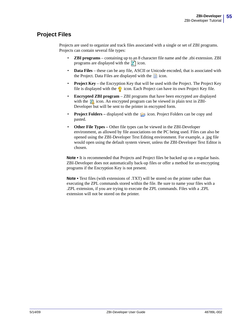## **Project Files**

Projects are used to organize and track files associated with a single or set of ZBI programs. Projects can contain several file types:

- **ZBI programs** containing up to an 8 character file name and the .zbi extension. ZBI programs are displayed with the  $\mathbb{Z}$  icon.
- **Data Files** these can be any file, ASCII or Unicode encoded, that is associated with the Project. Data Files are displayed with the  $\blacksquare$  icon.
- **Project Key** the Encryption Key that will be used with the Project. The Project Key file is displayed with the  $\Diamond$  icon. Each Project can have its own Project Key file.
- **Encrypted ZBI program** ZBI programs that have been encrypted are displayed with the  $\bar{z}$  icon. An encrypted program can be viewed in plain text in ZBI-Developer but will be sent to the printer in encrypted form.
- **Project Folders** displayed with the **ighthallowing** icon. Project Folders can be copy and pasted.
- **Other File Types –** Other file types can be viewed in the ZBI-Developer environment, as allowed by file associations on the PC being used. Files can also be opened using the ZBI-Developer Text Editing environment. For example, a .jpg file would open using the default system viewer, unless the ZBI-Developer Text Editor is chosen.

Note • It is recommended that Projects and Project files be backed up on a regular basis. ZBI-Developer does not automatically back-up files or offer a method for un-encrypting programs if the Encryption Key is not present.

**Note** • Text files (with extensions of .TXT) will be stored on the printer rather than executing the ZPL commands stored within the file. Be sure to name your files with a .ZPL extension, if you are trying to execute the ZPL commands. Files with a .ZPL extension will not be stored on the printer.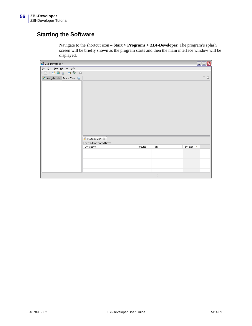## **Starting the Software**

Navigate to the shortcut icon – **Start > Programs > ZBI-Developer**. The program's splash screen will be briefly shown as the program starts and then the main interface window will be displayed.

| ZBI ZBI-Developer                                        |                                  |          |      | $\Box$ o $\times$         |
|----------------------------------------------------------|----------------------------------|----------|------|---------------------------|
| File Edit Run Window Help                                |                                  |          |      |                           |
|                                                          |                                  |          |      |                           |
| $\frac{1}{2}$ Navigator View Printer View $\boxed{\Box}$ |                                  |          |      | $=$ $\Box$                |
|                                                          |                                  |          |      |                           |
|                                                          |                                  |          |      |                           |
|                                                          |                                  |          |      |                           |
|                                                          |                                  |          |      |                           |
|                                                          |                                  |          |      |                           |
|                                                          |                                  |          |      |                           |
|                                                          |                                  |          |      |                           |
|                                                          |                                  |          |      |                           |
|                                                          |                                  |          |      |                           |
|                                                          |                                  |          |      |                           |
|                                                          |                                  |          |      |                           |
|                                                          |                                  |          |      |                           |
|                                                          | $\frac{1}{2}$ Problems View $23$ |          |      |                           |
|                                                          | 0 errors, 0 warnings, 0 infos    |          |      |                           |
|                                                          | Description                      | Resource | Path | Location $\blacktriangle$ |
|                                                          |                                  |          |      |                           |
|                                                          |                                  |          |      |                           |
|                                                          |                                  |          |      |                           |
|                                                          |                                  |          |      |                           |
|                                                          |                                  |          |      |                           |
|                                                          |                                  |          |      |                           |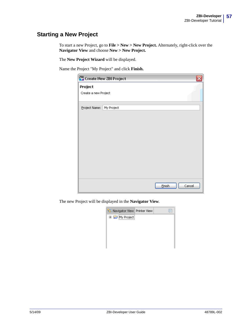## **Starting a New Project**

To start a new Project, go to **File > New > New Project.** Alternately, right-click over the **Navigator View** and choose **New > New Project.**

The **New Project Wizard** will be displayed.

Name the Project "My Project" and click **Finish.**

| Project |                                                                                |               |        |  |  |
|---------|--------------------------------------------------------------------------------|---------------|--------|--|--|
|         |                                                                                |               |        |  |  |
|         |                                                                                |               |        |  |  |
|         |                                                                                |               |        |  |  |
|         |                                                                                |               |        |  |  |
|         |                                                                                |               |        |  |  |
|         |                                                                                |               |        |  |  |
|         |                                                                                |               |        |  |  |
|         |                                                                                |               |        |  |  |
|         |                                                                                |               |        |  |  |
|         |                                                                                | <b>Einish</b> | Cancel |  |  |
|         | ZBI Create New ZBI Project<br>Create a new Project<br>Project Name: My Project |               |        |  |  |

The new Project will be displayed in the **Navigator View**.

| 국 Navigator View Printer View |  |
|-------------------------------|--|
| My Project                    |  |
|                               |  |
|                               |  |
|                               |  |
|                               |  |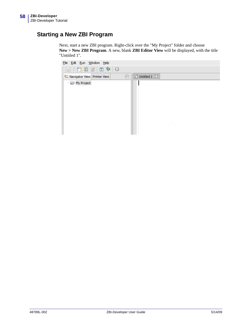## **Starting a New ZBI Program**

Next, start a new ZBI program. Right-click over the "My Project" folder and choose **New > New ZBI Program**. A new, blank **ZBI Editor View** will be displayed, with the title "Untitled 1".

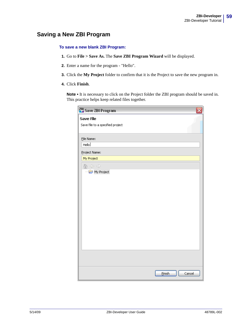## **Saving a New ZBI Program**

#### **To save a new blank ZBI Program:**

- **1.** Go to **File > Save As.** The **Save ZBI Program Wizard** will be displayed.
- **2.** Enter a name for the program "Hello".
- **3.** Click the **My Project** folder to confirm that it is the Project to save the new program in.
- **4.** Click **Finish**.

Note • It is necessary to click on the Project folder the ZBI program should be saved in. This practice helps keep related files together.

| ZBI Save ZBI Program             |                  |
|----------------------------------|------------------|
| Save File                        |                  |
| Save file to a specified project |                  |
|                                  |                  |
| File Name:                       |                  |
| Hello                            |                  |
| Project Name:                    |                  |
| My Project                       |                  |
| 伦 ⇔ ⇔                            |                  |
| My Project                       |                  |
|                                  |                  |
|                                  |                  |
|                                  |                  |
|                                  |                  |
|                                  |                  |
|                                  |                  |
|                                  |                  |
|                                  |                  |
|                                  |                  |
|                                  |                  |
|                                  |                  |
|                                  |                  |
|                                  |                  |
|                                  |                  |
|                                  | Einish<br>Cancel |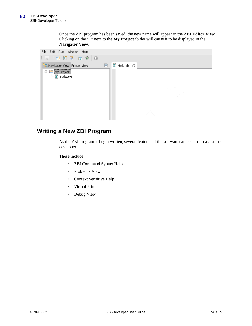Once the ZBI program has been saved, the new name will appear in the **ZBI Editor View**. Clicking on the "**+**" next to the **My Project** folder will cause it to be displayed in the **Navigator View.**



### **Writing a New ZBI Program**

As the ZBI program is begin written, several features of the software can be used to assist the developer.

These include:

- ZBI Command Syntax Help
- Problems View
- Context Sensitive Help
- Virtual Printers
- Debug View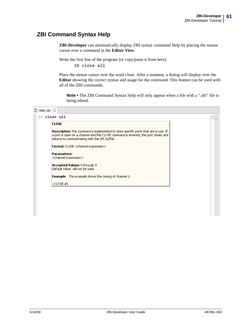## **ZBI Command Syntax Help**

**ZBI-Developer** can automatically display ZBI syntax command Help by placing the mouse cursor over a command in the **Editor View**.

Write the first line of the program (or copy/paste it from here).

10 close all

Place the mouse cursor over the word close. After a moment, a dialog will display over the **Editor** showing the correct syntax and usage for the command. This feature can be used with all of the ZBI commands.

**Note •** The ZBI Command Syntax Help will only appear when a file with a ".zbi" file is being edited.

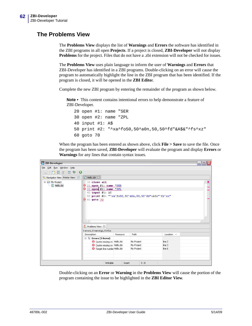### **The Problems View**

The **Problems View** displays the list of **Warnings** and **Errors** the software has identified in the ZBI programs in all open **Projects**. If a project is closed, **ZBI-Developer** will not display **Problems** for the project. Files that do not have a .zbi extension will not be checked for issues.

The **Problems View** uses plain language to inform the user of **Warnings** and **Errors** that ZBI-Developer has identified in a ZBI programs. Double-clicking on an error will cause the program to automatically highlight the line in the ZBI program that has been identified. If the program is closed, it will be opened in the **ZBI Edito**r.

Complete the new ZBI program by entering the remainder of the program as shown below.

**Note •** This content contains intentional errors to help demonstrate a feature of ZBI-Developer.

```
20 open #1: name "SER
30 open #2: name "ZPL
40 input #1: A$
50 print #2: "^xa^fo50,50^a0n,50,50^fd"&A$&"^fs^xz"
60 goto 70
```
When the program has been entered as shown above, click **File > Save** to save the file. Once the program has been saved, **ZBI-Developer** will evaluate the program and display **Errors** or **Warnings** for any lines that contain syntax issues.



Double-clicking on an **Error** or **Warning** in the **Problems View** will cause the portion of the program containing the issue to be highlighted in the **ZBI Editor View**.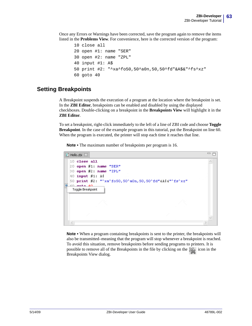Once any Errors or Warnings have been corrected, save the program again to remove the items listed in the **Problems View**. For convenience, here is the corrected version of the program:

```
10 close all
20 open #1: name "SER"
30 open #2: name "ZPL"
40 input #1: A$
50 print #2: "^xa^fo50,50^a0n,50,50^fd"&A$&"^fs^xz"
60 goto 40
```
### **Setting Breakpoints**

A Breakpoint suspends the execution of a program at the location where the breakpoint is set. In the **ZBI Editor**, breakpoints can be enabled and disabled by using the displayed checkboxes. Double-clicking on a breakpoint in the **Breakpoints View** will highlight it in the **ZBI Editor**.

To set a breakpoint, right-click immediately to the left of a line of ZBI code and choose **Toggle Breakpoint**. In the case of the example program in this tutorial, put the Breakpoint on line 60. When the program is executed, the printer will stop each time it reaches that line.

**Note •** The maximum number of breakpoints per program is 16.



**Note •** When a program containing breakpoints is sent to the printer, the breakpoints will also be transmitted–meaning that the program will stop whenever a breakpoint is reached. To avoid this situation, remove breakpoints before sending programs to printers. It is possible to remove all of the Breakpoints in the file by clicking on the icon in the Breakpoints View dialog.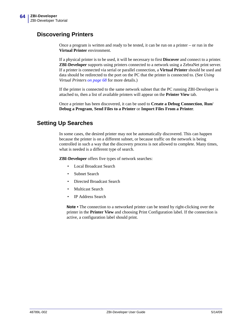## **Discovering Printers**

Once a program is written and ready to be tested, it can be run on a printer – or run in the **Virtual Printer** environment.

If a physical printer is to be used, it will be necessary to first **Discover** and connect to a printer. **ZBI-Developer** supports using printers connected to a network using a ZebraNet print server. If a printer is connected via serial or parallel connection, a **Virtual Printer** should be used and data should be redirected to the port on the PC that the printer is connected to. (See *[Using](#page-67-0)  [Virtual Printers on page 68](#page-67-0)* for more details.)

If the printer is connected to the same network subnet that the PC running ZBI-Developer is attached to, then a list of available printers will appear on the **Printer View** tab.

Once a printer has been discovered, it can be used to **Create a Debug Connection**, **Run/ Debug a Program**, **Send Files to a Printer** or **Import Files From a Printer**.

### **Setting Up Searches**

In some cases, the desired printer may not be automatically discovered. This can happen because the printer is on a different subnet, or because traffic on the network is being controlled in such a way that the discovery process is not allowed to complete. Many times, what is needed is a different type of search.

**ZBI-Developer** offers five types of network searches:

- Local Broadcast Search
- Subnet Search
- Directed Broadcast Search
- **Multicast Search**
- IP Address Search

**Note •** The connection to a networked printer can be tested by right-clicking over the printer in the **Printer View** and choosing Print Configuration label. If the connection is active, a configuration label should print.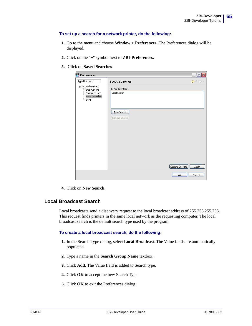#### **To set up a search for a network printer, do the following:**

- **1.** Go to the menu and choose **Window > Preferences**. The Preferences dialog will be displayed.
- **2.** Click on the "+" symbol next to **ZBI-Preferences.**
- **3.** Click on **Saved Searches**.

| ZBI Preferences                                                        |                                 | $ \boxed{\square}$ $\times$                                 |
|------------------------------------------------------------------------|---------------------------------|-------------------------------------------------------------|
| type filter text                                                       | <b>Saved Searches</b>           | $\Leftrightarrow$ $\Rightarrow$ $\Rightarrow$ $\Rightarrow$ |
| □ ZBI Preferences<br>Email Options<br>Encryption Key<br>Saved Searches | Saved Searches:<br>Local Search |                                                             |
| SNMP                                                                   |                                 |                                                             |
|                                                                        | New Search<br>Remove Search     |                                                             |
|                                                                        |                                 |                                                             |
|                                                                        |                                 |                                                             |
|                                                                        |                                 |                                                             |
|                                                                        |                                 | Restore Defaults<br><b>Apply</b>                            |
|                                                                        |                                 | Cancel<br>ОК                                                |

**4.** Click on **New Search**.

#### **Local Broadcast Search**

Local broadcasts send a discovery request to the local broadcast address of 255.255.255.255. This request finds printers in the same local network as the requesting computer. The local broadcast search is the default search type used by the program.

#### **To create a local broadcast search, do the following:**

- **1.** In the Search Type dialog, select **Local Broadcast**. The Value fields are automatically populated.
- **2.** Type a name in the **Search Group Name** textbox.
- **3.** Click **Add**. The Value field is added to Search type.
- **4.** Click **OK** to accept the new Search Type.
- **5.** Click **OK** to exit the Preferences dialog.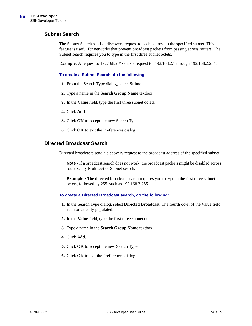### **Subnet Search**

The Subnet Search sends a discovery request to each address in the specified subnet. This feature is useful for networks that prevent broadcast packets from passing across routers. The Subnet search requires you to type in the first three subnet octets.

**Example:** A request to 192.168.2.\* sends a request to: 192.168.2.1 through 192.168.2.254.

#### **To create a Subnet Search, do the following:**

- **1.** From the Search Type dialog, select **Subnet**.
- **2.** Type a name in the **Search Group Name** textbox.
- **3.** In the **Value** field, type the first three subnet octets.
- **4.** Click **Add**.
- **5.** Click **OK** to accept the new Search Type.
- **6.** Click **OK** to exit the Preferences dialog.

### **Directed Broadcast Search**

Directed broadcasts send a discovery request to the broadcast address of the specified subnet.

**Note •** If a broadcast search does not work, the broadcast packets might be disabled across routers. Try Multicast or Subnet search.

**Example •** The directed broadcast search requires you to type in the first three subnet octets, followed by 255, such as 192.168.2.255.

#### **To create a Directed Broadcast search, do the following:**

- **1.** In the Search Type dialog, select **Directed Broadcast**. The fourth octet of the Value field is automatically populated.
- **2.** In the **Value** field, type the first three subnet octets.
- **3.** Type a name in the **Search Group Nam**e textbox.
- **4.** Click **Add**.
- **5.** Click **OK** to accept the new Search Type.
- **6.** Click **OK** to exit the Preferences dialog.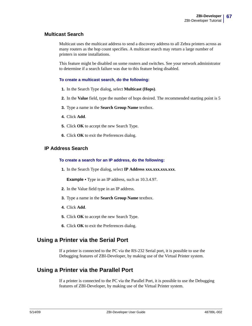### **Multicast Search**

Multicast uses the multicast address to send a discovery address to all Zebra printers across as many routers as the hop count specifies. A multicast search may return a large number of printers in some installations.

This feature might be disabled on some routers and switches. See your network administrator to determine if a search failure was due to this feature being disabled.

#### **To create a multicast search, do the following:**

- **1.** In the Search Type dialog, select **Multicast (Hops)**.
- **2.** In the **Value** field, type the number of hops desired. The recommended starting point is 5
- **3.** Type a name in the **Search Group Name** textbox.
- **4.** Click **Add**.
- **5.** Click **OK** to accept the new Search Type.
- **6.** Click **OK** to exit the Preferences dialog.

### **IP Address Search**

#### **To create a search for an IP address, do the following:**

1. In the Search Type dialog, select **IP Address xxx.xxx.xxx.xxx**.

**Example •** Type in an IP address, such as 10.3.4.97.

- **2.** In the Value field type in an IP address.
- **3.** Type a name in the **Search Group Name** textbox.
- **4.** Click **Add**.
- **5.** Click **OK** to accept the new Search Type.
- **6.** Click **OK** to exit the Preferences dialog.

### **Using a Printer via the Serial Port**

If a printer is connected to the PC via the RS-232 Serial port, it is possible to use the Debugging features of ZBI-Developer, by making use of the Virtual Printer system.

## **Using a Printer via the Parallel Port**

If a printer is connected to the PC via the Parallel Port, it is possible to use the Debugging features of ZBI-Developer, by making use of the Virtual Printer system.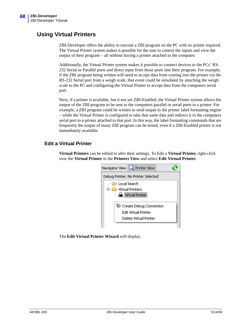## <span id="page-67-0"></span>**Using Virtual Printers**

ZBI-Developer offers the ability to execute a ZBI program on the PC with no printer required. The Virtual Printer system makes it possible for the user to control the inputs and view the output of their program – all without having a printer attached to the computer.

Additionally, the Virtual Printer system makes it possible to connect devices to the PCs' RS-232 Serial or Parallel ports and direct input from those ports into their program. For example, if the ZBI program being written will need to accept data from coming into the printer via the RS-232 Serial port from a weigh scale, that event could be simulated by attaching the weigh scale to the PC and configuring the Virtual Printer to accept data from the computers serial port.

Next, if a printer is available, but it not yet ZBI-Enabled, the Virtual Printer system allows the output of the ZBI program to be sent to the computers parallel or serial ports to a printer. For example, a ZBI program could be written to send output to the printer label formatting engine – while the Virtual Printer is configured to take that same data and redirect it to the computers serial port to a printer attached to that port. In this way, the label formatting commands that are frequently the output of many ZBI program can be tested, even if a ZBI-Enabled printer is not immediately available.

### **Edit a Virtual Printer**

**Virtual Printers** can be edited to alter their settings. To Edit a **Virtual Printer,** right-click over the **Virtual Printer** in the **Printers View** and select **Edit Virtual Printer.**



The **Edit Virtual Printer Wizard** will display.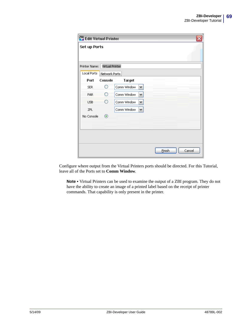| <b>ZBI</b> Edit Virtual Printer |                 |             |   |  |        |  |        |
|---------------------------------|-----------------|-------------|---|--|--------|--|--------|
| <b>Set up Ports</b>             |                 |             |   |  |        |  |        |
| Printer Name:                   | Virtual Printer |             |   |  |        |  |        |
| <b>Local Ports</b>              | Network Ports   |             |   |  |        |  |        |
| Port                            | Console         | Target      |   |  |        |  |        |
| <b>SER</b>                      | ◯               | Comm Window | v |  |        |  |        |
| PAR                             | O               | Comm Window | ٧ |  |        |  |        |
| <b>USB</b>                      | ∩               | Comm Window | v |  |        |  |        |
| ZPL                             |                 | Comm Window | × |  |        |  |        |
| No Console                      | $^\circledR$    |             |   |  |        |  |        |
|                                 |                 |             |   |  |        |  |        |
|                                 |                 |             |   |  |        |  |        |
|                                 |                 |             |   |  |        |  |        |
|                                 |                 |             |   |  | Einish |  | Cancel |

Configure where output from the Virtual Printers ports should be directed. For this Tutorial, leave all of the Ports set to **Comm Window**.

**Note •** Virtual Printers can be used to examine the output of a ZBI program. They do not have the ability to create an image of a printed label based on the receipt of printer commands. That capability is only present in the printer.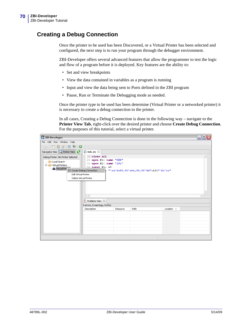## **Creating a Debug Connection**

Once the printer to be used has been Discovered, or a Virtual Printer has been selected and configured, the next step is to run your program through the debugger environment.

ZBI-Developer offers several advanced features that allow the programmer to test the logic and flow of a program before it is deployed. Key features are the ability to:

- Set and view breakpoints
- View the data contained in variables as a program is running
- Input and view the data being sent to Ports defined in the ZBI program
- Pause, Run or Terminate the Debugging mode as needed.

Once the printer type to be used has been determine (Virtual Printer or a networked printer) it is necessary to create a debug connection to the printer.

In all cases, Creating a Debug Connection is done in the following way – navigate to the **Printer View Tab**, right-click over the desired printer and choose **Create Debug Connection**. For the purposes of this tutorial, select a virtual printer.

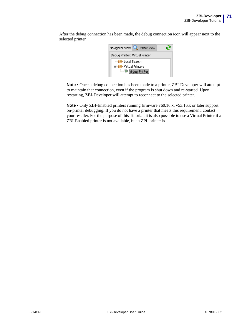After the debug connection has been made, the debug connection icon will appear next to the selected printer.



**Note •** Once a debug connection has been made to a printer, ZBI-Developer will attempt to maintain that connection, even if the program is shut down and re-started. Upon restarting, ZBI-Developer will attempt to reconnect to the selected printer.

**Note •** Only ZBI-Enabled printers running firmware v60.16.x, v53.16.x or later support on-printer debugging. If you do not have a printer that meets this requirement, contact your reseller. For the purpose of this Tutorial, it is also possible to use a Virtual Printer if a ZBI-Enabled printer is not available, but a ZPL printer is.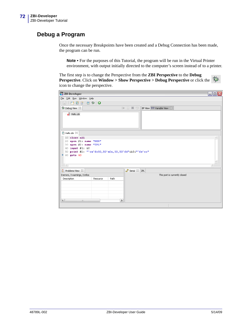## **Debug a Program**

Once the necessary Breakpoints have been created and a Debug Connection has been made, the program can be run.

**Note •** For the purposes of this Tutorial, the program will be run in the Virtual Printer environment, with output initially directed to the computer's screen instead of to a printer.

The first step is to change the Perspective from the **ZBI Perspective** to the **Debug Perspective**. Click on **Window > Show Perspective > Debug Perspective** or click the icon to change the perspective.

| ZBI ZBI-Developer                                                                                                                                                                           |                                                      |  |  |  |  |  |  |  |  |
|---------------------------------------------------------------------------------------------------------------------------------------------------------------------------------------------|------------------------------------------------------|--|--|--|--|--|--|--|--|
| File Edit Run Window Help                                                                                                                                                                   |                                                      |  |  |  |  |  |  |  |  |
| $\mathbb{E}[\mathbb{R}:\mathbb{C}^3\boxtimes\mathbb{R}^3 \mathbb{Z}^3\rightarrow\mathbb{C}^3]$                                                                                              |                                                      |  |  |  |  |  |  |  |  |
| 梦 Debug View 8                                                                                                                                                                              | D B B 3<br>BP View $(x)$ = Variable View $\boxtimes$ |  |  |  |  |  |  |  |  |
| Hello.zbi                                                                                                                                                                                   |                                                      |  |  |  |  |  |  |  |  |
| Z Hello.zbi $\boxtimes$                                                                                                                                                                     |                                                      |  |  |  |  |  |  |  |  |
| $10$ close all<br>$20$ open $#1$ : name "SER"<br>30 open #2: name "ZPL"<br>40 input #1: A\$<br>50 print #2: "^xa^fo50,50^a0n,50,50^fd"&A\$&"^fs^xz"<br>60 goto 40<br>$\bullet$<br>$\langle$ |                                                      |  |  |  |  |  |  |  |  |
| $\frac{2}{4}$ Problems View $23$                                                                                                                                                            | Serial & ZPL                                         |  |  |  |  |  |  |  |  |
| 0 errors, 0 warnings, 0 infos                                                                                                                                                               | This port is currently closed                        |  |  |  |  |  |  |  |  |
| Description<br>Path<br>Resource<br>$\rightarrow$<br>$\left  \left\langle \right\rangle \right $<br>$\mathop{\mathrm{III}}$                                                                  |                                                      |  |  |  |  |  |  |  |  |
|                                                                                                                                                                                             |                                                      |  |  |  |  |  |  |  |  |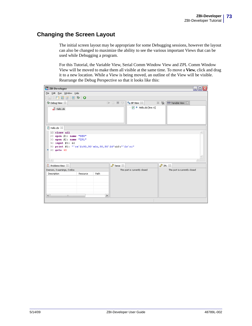### **Changing the Screen Layout**

<span id="page-72-0"></span>The initial screen layout may be appropriate for some Debugging sessions, however the layout can also be changed to maximize the ability to see the various important Views that can be used while Debugging a program.

For this Tutorial, the Variable View, Serial Comm Window View and ZPL Comm Window View will be moved to make them all visible at the same time. To move a **View**, click and drag it to a new location. While a View is being moved, an outline of the View will be visible. Rearrange the Debug Perspective so that it looks like this:

| File Edit Run Window Help                                                                                                                                                         |          |                               |            |                               |
|-----------------------------------------------------------------------------------------------------------------------------------------------------------------------------------|----------|-------------------------------|------------|-------------------------------|
|                                                                                                                                                                                   |          |                               |            |                               |
| 圖 : 第一首會 官 本   ●                                                                                                                                                                  |          |                               |            |                               |
| 梦 Debug View 8                                                                                                                                                                    | DER      | $\bullet$ BP View $23$        | $\times$ % | (x)= Variable View 23         |
| $\blacksquare$ Hello, zbi                                                                                                                                                         |          | ·v ● Hello.zbi [line: 6]      |            |                               |
| Z Hello.zbi 83                                                                                                                                                                    |          |                               |            |                               |
| 10 close all<br>$20$ open $#1$ : name "SER"<br>$30$ open $#2$ : name "ZPL"<br>40 input #1: A\$<br>50 print #2: "^xa^fo50,50^a0n,50,50^fd"&A\$&"^fs^xz"<br>60 goto 40<br>$\langle$ |          |                               |            |                               |
| $\frac{2}{4}$ Problems View $23$                                                                                                                                                  | Serial X |                               | → ZPL ¤    |                               |
| 0 errors, 0 warnings, 0 infos                                                                                                                                                     |          | This port is currently closed |            | This port is currently closed |
| Description<br>Path<br>Resource<br>$\rightarrow$<br>$\left  \right $<br>$\mathbf{m}$                                                                                              |          |                               |            |                               |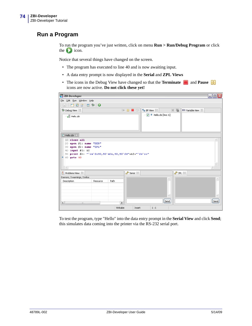### **Run a Program**

<span id="page-73-0"></span>To run the program you've just written, click on menu **Run > Run/Debug Program** or click the  $\Box$  icon.

Notice that several things have changed on the screen.

- The program has executed to line 40 and is now awaiting input.
- A data entry prompt is now displayed in the **Serial** and **ZPL Views**
- The icons in the Debug View have changed so that the **Terminate a** and **Pause 10** icons are now active. **Do not click these yet!**

| ZBI ZBI-Developer                                                       |            |                               |                                                       |                                           | $ \blacksquare$ $\times$ |
|-------------------------------------------------------------------------|------------|-------------------------------|-------------------------------------------------------|-------------------------------------------|--------------------------|
| File Edit Run Window Help                                               |            |                               |                                                       |                                           |                          |
| $\exists \Box$ : [ $2$ ] $\Diamond$ ] $\Diamond$ ] $\Diamond$           |            |                               |                                                       |                                           |                          |
| 梦 Debug View 83                                                         |            | $\bullet$ BP View $\boxtimes$ |                                                       | $\times$ %<br>$\infty$ Variable View $23$ |                          |
| Hello.zbi                                                               |            |                               | $\boxed{\triangledown}$ $\bullet$ Hello.zbi [line: 6] |                                           |                          |
| $2$ Hello.zbi $\%$                                                      |            |                               |                                                       |                                           |                          |
| 10 close all                                                            |            |                               |                                                       |                                           | A,                       |
| $20$ open $#1$ : name "SER"                                             |            |                               |                                                       |                                           |                          |
| $30$ open $#2$ : name "ZPL"                                             |            |                               |                                                       |                                           |                          |
| $40$ input $\#1$ : A\$                                                  |            |                               |                                                       |                                           |                          |
| 50 print #2: "^xa^fo50,50^a0n,50,50^fd"&A\$&"^fs^xz"<br>60 goto 40<br>۰ |            |                               |                                                       |                                           |                          |
|                                                                         |            |                               |                                                       |                                           |                          |
|                                                                         |            |                               |                                                       |                                           |                          |
| $\langle$                                                               |            |                               |                                                       |                                           |                          |
| Problems View &                                                         | → Serial ⊠ |                               |                                                       | P ZPL 23                                  |                          |
| 0 errors, 0 warnings, 0 infos                                           |            |                               |                                                       |                                           | Ä                        |
| Path<br>Description<br>Resource                                         |            |                               | $\wedge$                                              |                                           |                          |
|                                                                         |            |                               |                                                       |                                           |                          |
|                                                                         |            |                               |                                                       |                                           |                          |
|                                                                         |            |                               | ŵ.                                                    |                                           |                          |
|                                                                         |            |                               |                                                       |                                           |                          |
| $\vert \langle \vert \vert$<br>$\mathop{\mathrm{HH}}\nolimits$          | ▶          |                               | Send                                                  |                                           | Send                     |
|                                                                         | Writable   | Insert                        | 1:1                                                   |                                           |                          |

To test the program, type "Hello" into the data entry prompt in the **Serial View** and click **Send**; this simulates data coming into the printer via the RS-232 serial port.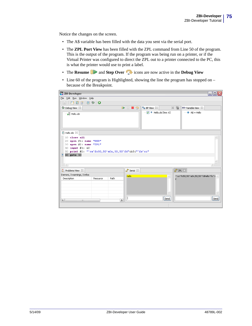Notice the changes on the screen.

- The A\$ variable has been filled with the data you sent via the serial port.
- The **ZPL Port View** has been filled with the ZPL command from Line 50 of the program. This is the output of the program. If the program was being run on a printer, or if the Virtual Printer was configured to direct the ZPL out to a printer connected to the PC, this is what the printer would use to print a label.
- The **Resume b** and **Step Over** icons are now active in the **Debug View**
- Line 60 of the program is Highlighted, showing the line the program has stopped on because of the Breakpoint.

| ZBI ZBI-Developer                                                                                                                                                                   | $\blacksquare$ ok                                                                  |
|-------------------------------------------------------------------------------------------------------------------------------------------------------------------------------------|------------------------------------------------------------------------------------|
| File Edit Run Window Help                                                                                                                                                           |                                                                                    |
| $\vdash \Box \bot \Box$ . $\Box$ . $\Box$ . $\Box$ . $\Box$ . $\Box$ . $\Box$                                                                                                       |                                                                                    |
| 梦 Debug View 23                                                                                                                                                                     | $X$ %<br>B B R<br>$\degree$ e BP View $\frac{23}{3}$<br>$(x)$ = Variable View $23$ |
| Hello.zbi                                                                                                                                                                           | $\rightarrow$ A\$ = Hello<br>$\boxed{\triangledown}$ $\bullet$ Hello.zbi [line: 6] |
| Z Hello.zbi $\%$                                                                                                                                                                    |                                                                                    |
| $10$ close all<br>$20$ open $#1$ : name "SER"<br>$30$ open $#2$ : name "ZPL"<br>40 input #1: A\$<br>50 print #2: "^xa^fo50,50^a0n,50,50^fd"&A\$&"^fs^xz"<br>60 goto 40<br>$\langle$ |                                                                                    |
| $\frac{2}{4}$ Problems View $23$                                                                                                                                                    | P ZPL 23<br>→ Serial ⊠                                                             |
| 0 errors, 0 warnings, 0 infos                                                                                                                                                       |                                                                                    |
| Path<br>Description<br>Resource                                                                                                                                                     | <b>Hello</b><br>^xa^fo50,50^a0n,50,50^fdHello^fs^x<br>٨                            |
| $\vert$ < $\vert$<br>$\rightarrow$<br>$\mathop{\mathrm{III}}$                                                                                                                       | Send<br>Send                                                                       |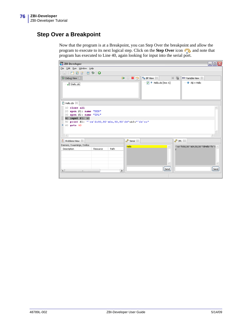# **Step Over a Breakpoint**

<span id="page-75-0"></span>Now that the program is at a Breakpoint, you can Step Over the breakpoint and allow the program to execute to its next logical step. Click on the **Step Over** icon **a**, and note that program has executed to Line 40, again looking for input into the serial port.

| ZBI ZBI-Developer                                                                                                                                                  | $\Box$ o $\times$                                                                        |
|--------------------------------------------------------------------------------------------------------------------------------------------------------------------|------------------------------------------------------------------------------------------|
| File Edit Run Window Help                                                                                                                                          |                                                                                          |
|                                                                                                                                                                    |                                                                                          |
| 芬 Debug View X                                                                                                                                                     | $\times$ %<br><b>BEB</b><br>$\bullet$ BP View $\boxtimes$<br>$(x)$ Variable View $\&$    |
| Hello.zbi                                                                                                                                                          | $\rightarrow$ A\$ = Hello<br>$\overline{\smile}$ $\overline{\smile}$ Hello.zbi [line: 6] |
| Z Hello.zbi 83                                                                                                                                                     |                                                                                          |
| $10$ close all<br>20 open #1: name "SER"<br>30 open #2: name "ZPL"<br>40 input #1: A\$<br>50 print #2: "^xa^fo50,50^a0n,50,50^fd"&A\$&"^fs^xz"<br>$• 60$ goto $40$ |                                                                                          |
| $\frac{2}{3}$ Problems View $23$                                                                                                                                   | → Serial ⊠<br>2PL X                                                                      |
| 0 errors, 0 warnings, 0 infos                                                                                                                                      | Hello<br>^xa^fo50,50^a0n,50,50^fdHello^fs^x<br>۸                                         |
| Description<br>Path<br>Resource<br>$\left  \left\langle \right\rangle \right $<br>$\rightarrow$<br>$\rm _{HH}$                                                     | Send<br>Send                                                                             |
|                                                                                                                                                                    |                                                                                          |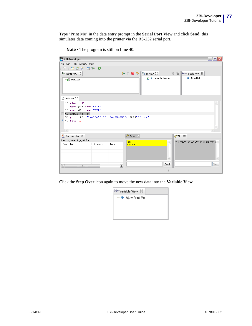Type "Print Me" in the data entry prompt in the **Serial Port View** and click **Send**; this simulates data coming into the printer via the RS-232 serial port.

| ZBI ZBI-Developer                                                                                                                                                                 | $\Box$ $\Box$ $\times$                                                                          |
|-----------------------------------------------------------------------------------------------------------------------------------------------------------------------------------|-------------------------------------------------------------------------------------------------|
| File Edit Run Window Help                                                                                                                                                         |                                                                                                 |
| 圖 : 【 】 百 曾   □ 梦   ●                                                                                                                                                             |                                                                                                 |
| 梦 Debug View 83                                                                                                                                                                   | $\mathbb{X}$ %<br>$\blacksquare$<br>$\bullet$ BP View $\frac{1}{2}$<br>$(x)$ Variable View $23$ |
| Hello.zbi                                                                                                                                                                         | $\Leftrightarrow$ A\$ = Hello<br>$\boxed{\triangledown}$ $\Theta$ Hello.zbi [line: 6]           |
| Z Hello.zbi 23                                                                                                                                                                    |                                                                                                 |
| 10 close all<br>$20$ open $#1$ : name "SER"<br>30 open #2: name "ZPL"<br>40 input #1: A\$<br>50 print #2: "^xa^fo50,50^a0n,50,50^fd"&A\$&"^fs^xz"<br>60 goto 40<br>Θ<br>$\langle$ |                                                                                                 |
| $\frac{2}{4}$ Problems View $23$                                                                                                                                                  | √ी Serial ⊠<br>→ ZPL ¤                                                                          |
| 0 errors, 0 warnings, 0 infos                                                                                                                                                     | Hello<br>^xa^fo50,50^a0n,50,50^fdHello^fs^x                                                     |
| Path<br>Description<br>Resource                                                                                                                                                   | Print Me                                                                                        |
| $\left\vert \left\langle \right\vert \right\vert$<br>⋗<br>$\mathop{\mathrm{III}}$                                                                                                 | Send<br>Send                                                                                    |

**Note •** The program is still on Line 40.

Click the **Step Over** icon again to move the new data into the **Variable View.**

| $(x)$ = Variable View $\boxtimes$    |
|--------------------------------------|
| $\dots \blacklozenge$ A\$ = Print Me |
|                                      |
|                                      |
|                                      |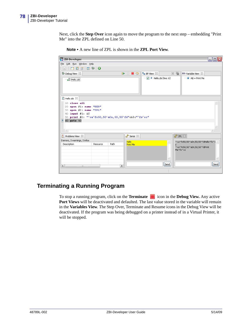Next, click the **Step Over** icon again to move the program to the next step – embedding "Print Me" into the ZPL defined on Line 50.

| ZBI ZBI-Developer                                                                                                                                                                          |          |               |              |                                                      |      |          |                                    | - 10 |
|--------------------------------------------------------------------------------------------------------------------------------------------------------------------------------------------|----------|---------------|--------------|------------------------------------------------------|------|----------|------------------------------------|------|
| File Edit Run Window Help                                                                                                                                                                  |          |               |              |                                                      |      |          |                                    |      |
|                                                                                                                                                                                            |          |               |              |                                                      |      |          |                                    |      |
| 梦 Debug View 23                                                                                                                                                                            |          |               | B B R        | $\bullet$ BP View $\,\mathbb{X}$                     |      | $X$ %    | $(x)$ = Variable View $23$         |      |
| Hello.zbi                                                                                                                                                                                  |          |               |              | $\boxed{\triangledown}$ $\Theta$ Hello.zbi [line: 6] |      |          | $\rightarrow$ A\$ = Print Me       |      |
| Z Hello.zbi $\boxtimes$                                                                                                                                                                    |          |               |              |                                                      |      |          |                                    |      |
| $10$ close all<br>$20$ open $\#1$ : name "SER"<br>30 open #2: name "ZPL"<br>$40$ input $\#1$ : A\$<br>50 print #2: "^xa^fo50,50^a0n,50,50^fd"&A\$&"^fs^xz"<br>60 goto 40<br>ō<br>$\langle$ |          |               |              |                                                      |      |          |                                    |      |
| Problems View &                                                                                                                                                                            |          |               | Serial ⊠     |                                                      |      | √ ZPL ⊠  |                                    |      |
| 0 errors, 0 warnings, 0 infos                                                                                                                                                              |          |               | <b>Hello</b> |                                                      | ٨.   |          | ^xa^fo50,50^a0n,50,50^fdHello^fs^x |      |
| Description                                                                                                                                                                                | Resource | Path          | Print Me     |                                                      |      | Me^fs^xz | ^xa^fo50,50^a0n,50,50^fdPrint      |      |
| $\left\vert \left\langle \right\vert \right\vert$<br>$\mathbf{m}$                                                                                                                          |          | $\rightarrow$ |              |                                                      | Send |          |                                    | Send |

**Note •** A new line of ZPL is shown in the **ZPL Port View**.

### **Terminating a Running Program**

<span id="page-77-0"></span>To stop a running program, click on the **Terminate** icon in the **Debug View.** Any active **Port Views** will be deactivated and defaulted. The last value stored in the variable will remain in the **Variables View**. The Step Over, Terminate and Resume icons in the Debug View will be deactivated. If the program was being debugged on a printer instead of in a Virtual Printer, it will be stopped.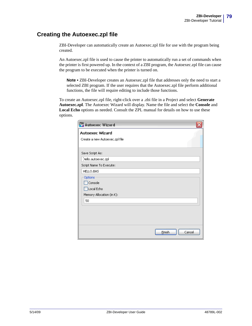### **Creating the Autoexec.zpl file**

<span id="page-78-0"></span>ZBI-Developer can automatically create an Autoexec.zpl file for use with the program being created.

An Autoexec.zpl file is used to cause the printer to automatically run a set of commands when the printer is first powered up. In the context of a ZBI program, the Autoexec.zpl file can cause the program to be executed when the printer is turned on.

Note • ZBI-Developer creates an Autoexec.zpl file that addresses only the need to start a selected ZBI program. If the user requires that the Autoexec.zpl file perform additional functions, the file will require editing to include those functions.

To create an Autoexec.zpl file, right-click over a .zbi file in a Project and select **Generate Autoexec.zpl**. The Autoexec Wizard will display. Name the file and select the **Console** and **Local Echo** options as needed. Consult the ZPL manual for details on how to use these options.

| ZBI Autoexec Wizard            |                  |
|--------------------------------|------------------|
| <b>Autoexec Wizard</b>         |                  |
| Create a new Autoexec.zpl file |                  |
| Save Script As:                |                  |
| Hello, autoexec.zpl            |                  |
| Script Name To Execute:        |                  |
| HELLO.BAS                      |                  |
| Options                        |                  |
| Console                        |                  |
| Local Echo                     |                  |
| Memory Allocation (in K):      |                  |
| 50                             |                  |
|                                |                  |
|                                |                  |
|                                |                  |
|                                |                  |
|                                | Einish<br>Cancel |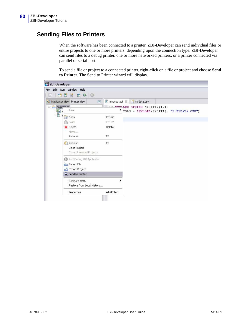### **Sending Files to Printers**

<span id="page-79-0"></span>When the software has been connected to a printer, ZBI-Developer can send individual files or entire projects to one or more printers, depending upon the connection type. ZBI-Developer can send files to a debug printer, one or more networked printers, or a printer connected via parallel or serial port.

To send a file or project to a connected printer, right-click on a file or project and choose **Send to Printer**. The Send to Printer wizard will display.

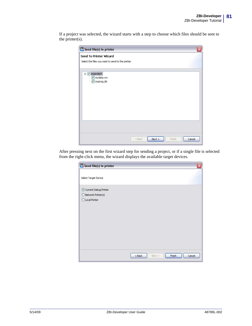If a project was selected, the wizard starts with a step to choose which files should be sent to the printer(s).

| ZBI Send file(s) to printer                                                | $\overline{\mathsf{x}}$ |
|----------------------------------------------------------------------------|-------------------------|
| Send To Printer Wizard<br>Select the files you want to send to the printer |                         |
|                                                                            |                         |
| □ M myproject<br>√ mydata.csv<br><u>Mayprog.zbi</u>                        |                         |
|                                                                            |                         |
|                                                                            |                         |
|                                                                            |                         |
|                                                                            |                         |
|                                                                            |                         |
| Next<br>Finish<br>$<$ Back                                                 | Cancel                  |

After pressing next on the first wizard step for sending a project, or if a single file is selected from the right-click menu, the wizard displays the available target devices.

| ZBI Send file(s) to printer   | $\overline{\mathsf{x}}$              |
|-------------------------------|--------------------------------------|
| Select Target Device          |                                      |
| Current Debug Printer         |                                      |
| $\bigcirc$ Network Printer(s) |                                      |
| O Local Printer               |                                      |
|                               |                                      |
|                               |                                      |
|                               |                                      |
|                               |                                      |
|                               |                                      |
|                               |                                      |
|                               |                                      |
|                               |                                      |
|                               |                                      |
|                               |                                      |
|                               | Finish<br>Cancel<br>$<$ Back<br>Next |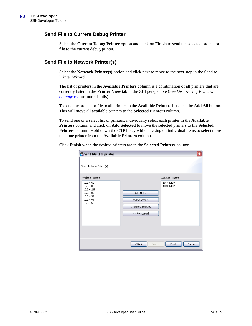#### **Send File to Current Debug Printer**

Select the **Current Debug Printer** option and click on **Finish** to send the selected project or file to the current debug printer.

#### **Send File to Network Printer(s)**

Select the **Network Printer(s)** option and click next to move to the next step in the Send to Printer Wizard.

The list of printers in the **Available Printers** column is a combination of all printers that are currently listed in the **Printer View** tab in the ZBI perspective (See *[Discovering Printers](#page-63-0) [on page 64](#page-63-0)* for more details).

To send the project or file to all printers in the **Available Printers** list click the **Add All** button. This will move all available printers to the **Selected Printers** column.

To send one or a select list of printers, individually select each printer in the **Available Printers** column and click on **Add Selected** to move the selected printers to the **Selected Printers** column. Hold down the CTRL key while clicking on individual items to select more than one printer from the **Available Printers** column.

Click **Finish** when the desired printers are in the **Selected Printers** column.

| ZBI Send file(s) to printer<br>Select Network Printer(s)<br>Available Printers           | ≅<br>Selected Printers                                                                           |
|------------------------------------------------------------------------------------------|--------------------------------------------------------------------------------------------------|
| 10.3.4.60<br>10.3.4.85<br>10.3.4.245<br>10.3.4.80<br>10.3.4.97<br>10.3.4.94<br>10.3.4.52 | 10.3.4.109<br>10.3.4.102<br>Add All $>>$<br>Add Selected ><br>< Remove Selected<br><< Remove All |
|                                                                                          | Cancel<br>$Back$<br>Finish<br>$Next$ >                                                           |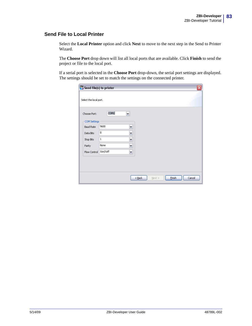#### **Send File to Local Printer**

Select the **Local Printer** option and click **Next** to move to the next step in the Send to Printer Wizard.

The **Choose Port** drop down will list all local ports that are available. Click **Finish** to send the project or file to the local port.

If a serial port is selected in the **Choose Port** drop-down, the serial port settings are displayed. The settings should be set to match the settings on the connected printer.

| ZBI Send file(s) to printer |                                               | ≅ |
|-----------------------------|-----------------------------------------------|---|
| Select the local port.      |                                               |   |
| Choose Port:                | COM1<br>$\blacktriangledown$                  |   |
| COM Settings                |                                               |   |
| <b>Baud Rate</b>            | 9600<br>M                                     |   |
| Data Bits                   | 8<br>٧                                        |   |
| Stop Bits                   | $\mathbf 1$<br>Y)                             |   |
| Parity                      | None<br>Y                                     |   |
| Flow Control                | Xon/Xoff<br>٧Ì                                |   |
|                             |                                               |   |
|                             |                                               |   |
|                             |                                               |   |
|                             | $Back$<br><b>Einish</b><br>Cancel<br>$Next$ > |   |
|                             |                                               |   |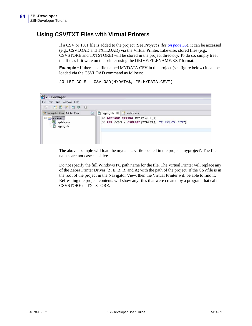### **Using CSV/TXT Files with Virtual Printers**

If a CSV or TXT file is added to the project (See *[Project Files on page 55](#page-54-0)*), it can be accessed (e.g., CSVLOAD and TXTLOAD) via the Virtual Printer. Likewise, stored files (e.g., CSVSTORE and TXTSTORE) will be stored in the project directory. To do so, simply treat the file as if it were on the printer using the DRIVE:FILENAME.EXT format.

**Example •** If there is a file named MYDATA.CSV in the project (see figure below) it can be loaded via the CSVLOAD command as follows:

```
20 LET COLS = CSVLOAD(MYDATA$, "E:MYDATA.CSV")
```


The above example will load the mydata.csv file located in the project 'myproject'. The file names are not case sensitive.

Do not specify the full Windows PC path name for the file. The Virtual Printer will replace any of the Zebra Printer Drives (Z, E, B, R, and A) with the path of the project. If the CSVfile is in the root of the project in the Navigator View, then the Virtual Printer will be able to find it. Refreshing the project contents will show any files that were created by a program that calls CSVSTORE or TXTSTORE.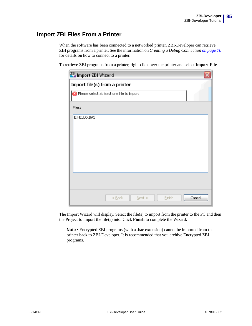### **Import ZBI Files From a Printer**

<span id="page-84-0"></span>When the software has been connected to a networked printer, ZBI-Developer can retrieve ZBI programs from a printer. See the information on *[Creating a Debug Connection on page 70](#page-69-0)* for details on how to connect to a printer.

To retrieve ZBI programs from a printer, right-click over the printer and select **Import File**.

| ZBI Import ZBI Wizard                     |        |           |        |        |
|-------------------------------------------|--------|-----------|--------|--------|
| Import file(s) from a printer             |        |           |        |        |
| Please select at least one file to import |        |           |        |        |
| Files:                                    |        |           |        |        |
| E:HELLO.BAS                               |        |           |        |        |
|                                           |        |           |        |        |
|                                           |        |           |        |        |
|                                           |        |           |        |        |
|                                           |        |           |        |        |
|                                           |        |           |        |        |
|                                           |        |           |        |        |
|                                           |        |           |        |        |
|                                           | $Back$ | $N$ ext > | Einish | Cancel |

The Import Wizard will display. Select the file(s) to import from the printer to the PC and then the Project to import the file(s) into. Click **Finish** to complete the Wizard.

**Note •** Encrypted ZBI programs (with a .bae extension) cannot be imported from the printer back to ZBI-Developer. It is recommended that you archive Encrypted ZBI programs.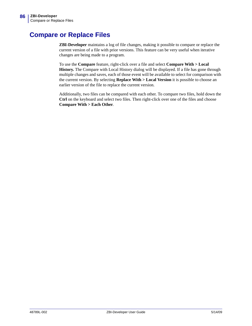# **Compare or Replace Files**

<span id="page-85-0"></span>**ZBI-Developer** maintains a log of file changes, making it possible to compare or replace the current version of a file with prior versions. This feature can be very useful when iterative changes are being made to a program.

To use the **Compare** feature, right-click over a file and select **Compare With > Local History.** The Compare with Local History dialog will be displayed. If a file has gone through multiple changes and saves, each of those event will be available to select for comparison with the current version. By selecting **Replace With > Local Version** it is possible to choose an earlier version of the file to replace the current version.

Additionally, two files can be compared with each other. To compare two files, hold down the **Ctrl** on the keyboard and select two files. Then right-click over one of the files and choose **Compare With > Each Other**.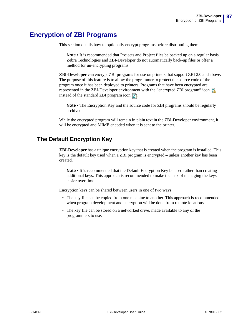# **Encryption of ZBI Programs**

This section details how to optionally encrypt programs before distributing them.

<span id="page-86-1"></span>**Note** • It is recommended that Projects and Project files be backed up on a regular basis. Zebra Technologies and ZBI-Developer do not automatically back-up files or offer a method for un-encrypting programs.

**ZBI-Developer** can encrypt ZBI programs for use on printers that support ZBI 2.0 and above. The purpose of this feature is to allow the programmer to protect the source code of the program once it has been deployed to printers. Programs that have been encrypted are represented in the ZBI-Developer environment with the "encrypted ZBI program" icon  $\overline{\mathbb{Z}}$ instead of the standard ZBI program icon  $\mathbb{R}$ .

<span id="page-86-0"></span>**Note •** The Encryption Key and the source code for ZBI programs should be regularly archived.

While the encrypted program will remain in plain text in the ZBI-Developer environment, it will be encrypted and MIME encoded when it is sent to the printer.

### **The Default Encryption Key**

**ZBI-Developer** has a unique encryption key that is created when the program is installed. This key is the default key used when a ZBI program is encrypted – unless another key has been created.

**Note** • It is recommended that the Default Encryption Key be used rather than creating additional keys. This approach is recommended to make the task of managing the keys easier over time.

Encryption keys can be shared between users in one of two ways:

- The key file can be copied from one machine to another. This approach is recommended when program development and encryption will be done from remote locations.
- The key file can be stored on a networked drive, made available to any of the programmers to use.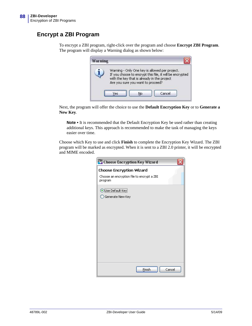### **Encrypt a ZBI Program**

To encrypt a ZBI program, right-click over the program and choose **Encrypt ZBI Program**. The program will display a Warning dialog as shown below:

<span id="page-87-0"></span>

| with the key that is already in the project |  | Warning - Only One key is allowed per project.<br>If you choose to encrypt this file, it will be encrypted |  |
|---------------------------------------------|--|------------------------------------------------------------------------------------------------------------|--|
| Are you sure you want to proceed?           |  |                                                                                                            |  |

Next, the program will offer the choice to use the **Default Encryption Key** or to **Generate a New Key**.

**Note •** It is recommended that the Default Encryption Key be used rather than creating additional keys. This approach is recommended to make the task of managing the keys easier over time.

Choose which Key to use and click **Finish** to complete the Encryption Key Wizard. The ZBI program will be marked as encrypted. When it is sent to a ZBI 2.0 printer, it will be encrypted and MIME encoded.

| ZBI Choose Encryption Key Wizard                      |
|-------------------------------------------------------|
| <b>Choose Encryption Wizard</b>                       |
| Choose an encryption file to encrypt a ZBI<br>program |
| Use Default Key                                       |
| Generate New Key                                      |
|                                                       |
|                                                       |
|                                                       |
|                                                       |
|                                                       |
|                                                       |
|                                                       |
|                                                       |
| Einish<br>Cancel                                      |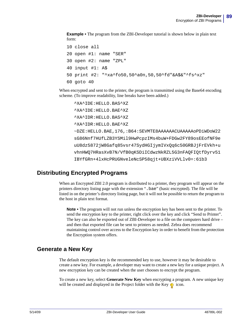**Example •** The program from the ZBI-Developer tutorial is shown below in plain text form:

```
10 close all
20 open #1: name "SER"
30 open #2: name "ZPL"
40 input #1: A$
50 print #2: "^xa^fo50,50^a0n,50,50^fd"&A$&"^fs^xz"
60 goto 40
```
When encrypted and sent to the printer, the program is transmitted using the Base64 encoding scheme. (To improve readability, line breaks have been added.)

```
^XA^IDE:HELLO.BAS^XZ
^XA^IDE:HELLO.BAE^XZ
^XA^IDR:HELLO.BAS^XZ
^XA^IDR:HELLO.BAE^XZ
~DZE:HELLO.BAE,176,:B64:SEVMTE8AAAAAACUAAAAAoPDiWDoW22
sG86Nnf7HUfLZB3YSMil9HwPcpzIMs4buW+FDGw2FY89osEEofNF9e
uU8dz5872jW8Gafq85vsr47SydHGIjymIVxOq6c50GRBJjFrEVkh+u
vhnHWQ7HRasXvB7N/VfB0qKSDiICdwzNkRZL5G3nFAQFIQtfDyrv51
IBYfGRn+4lxHcPRUGNveleNcSP58qjt+UBXziVVLlv0=:61b3
```
### **Distributing Encrypted Programs**

<span id="page-88-0"></span>When an Encrypted ZBI 2.0 program is distributed to a printer, they program will appear on the printers directory listing page with the extension ".bae" (basic encrypted). The file will be listed in on the printer's directory listing page, but it will not be possible to return the program to the host in plain text format.

**Note •** The program will not run unless the encryption key has been sent to the printer. To send the encryption key to the printer, right click over the key and click "Send to Printer". The key can also be exported out of ZBI-Developer to a file on the computers hard drive – and then that exported file can be sent to printers as needed. Zebra does recommend maintaining control over access to the Encryption key in order to benefit from the protection the Encryption system offers.

### **Generate a New Key**

<span id="page-88-1"></span>The default encryption key is the recommended key to use, however it may be desirable to create a new key. For example, a developer may want to create a new key for a unique project. A new encryption key can be created when the user chooses to encrypt the program.

To create a new key, select **Generate New Key** when encrypting a program. A new unique key will be created and displayed in the Project folder with the Key  $\bullet$  icon.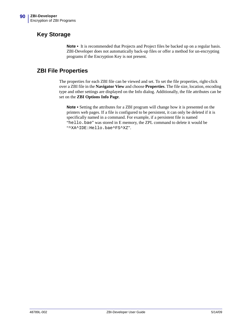### **Key Storage**

<span id="page-89-1"></span><span id="page-89-0"></span>Note • It is recommended that Projects and Project files be backed up on a regular basis. ZBI-Developer does not automatically back-up files or offer a method for un-encrypting programs if the Encryption Key is not present.

### **ZBI File Properties**

The properties for each ZBI file can be viewed and set. To set the file properties, right-click over a ZBI file in the **Navigator View** and choose **Properties**. The file size, location, encoding type and other settings are displayed on the Info dialog. Additionally, the file attributes can be set on the **ZBI Options Info Page**.

**Note •** Setting the attributes for a ZBI program will change how it is presented on the printers web pages. If a file is configured to be persistent, it can only be deleted if it is specifically named in a command. For example, if a persistent file is named "hello.bae" was stored in E memory, the ZPL command to delete it would be "^XA^IDE:Hello.bae^FS^XZ".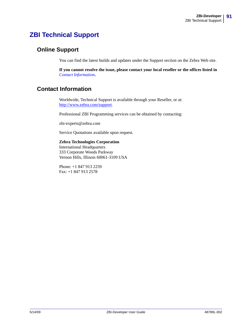# **ZBI Technical Support**

### **Online Support**

<span id="page-90-2"></span>You can find the latest builds and updates under the Support section on the Zebra Web site.

<span id="page-90-1"></span>**If you cannot resolve the issue, please contact your local reseller or the offices listed in**  *[Contact Information](#page-90-0)***.**

### <span id="page-90-0"></span>**Contact Information**

Worldwide, Technical Support is available through your Reseller, or at: http://www.zebra.com/support.

Professional ZBI Programming services can be obtained by contacting:

zbi-experts@zebra.com

Service Quotations available upon request.

**Zebra Technologies Corporation** International Headquarters 333 Corporate Woods Parkway Vernon Hills, Illinois 60061-3109 USA

Phone: +1 847 913 2259 Fax: +1 847 913 2578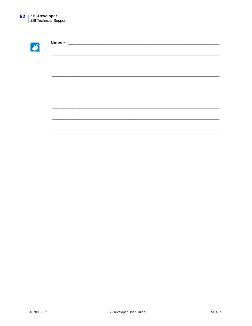$\mathcal{L}$ 

| Notes • | <u> 2008 - Jan James James James James James James James James James James James James James James James James Ja</u> |  |  |  |
|---------|-----------------------------------------------------------------------------------------------------------------------|--|--|--|
|         |                                                                                                                       |  |  |  |
|         |                                                                                                                       |  |  |  |
|         |                                                                                                                       |  |  |  |
|         |                                                                                                                       |  |  |  |
|         |                                                                                                                       |  |  |  |
|         |                                                                                                                       |  |  |  |
|         |                                                                                                                       |  |  |  |
|         |                                                                                                                       |  |  |  |
|         |                                                                                                                       |  |  |  |
|         |                                                                                                                       |  |  |  |
|         |                                                                                                                       |  |  |  |
|         |                                                                                                                       |  |  |  |
|         |                                                                                                                       |  |  |  |
|         |                                                                                                                       |  |  |  |
|         |                                                                                                                       |  |  |  |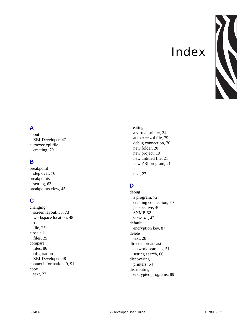# Index



# **A**

about [ZBI-Developer, 47](#page-46-0) autoexec.zpl file [creating, 79](#page-78-0)

### **B**

breakpoint [step over, 76](#page-75-0) breakpoints [setting, 63](#page-62-0) [breakpoints view, 45](#page-44-0)

# **C**

changing [screen layout, 53,](#page-52-0) [73](#page-72-0) [workspace location, 48](#page-47-0) close [file, 25](#page-24-0) close all [files, 25](#page-24-1) compare [files, 86](#page-85-0) configuration [ZBI-Developer, 48](#page-47-1) [contact information, 9,](#page-8-0) [91](#page-90-1) copy [text, 27](#page-26-0)

#### creating

[a virtual printer, 34](#page-33-0) [autoexec.zpl file, 79](#page-78-0) [debug connection, 70](#page-69-1) [new folder, 20](#page-19-0) [new project, 19](#page-18-0) [new untitled file, 21](#page-20-0) [new ZBI program, 21](#page-20-1) cut [text, 27](#page-26-1)

# **D**

debug [a program, 72](#page-71-0) [creating connection, 70](#page-69-1) [perspective, 40](#page-39-0) [SNMP, 52](#page-51-0) [view, 41,](#page-40-0) [42](#page-41-0) default [encryption key, 87](#page-86-0) delete [text, 28](#page-27-0) directed broadcast [network searches, 51](#page-50-0) [setting search, 66](#page-65-0) discovering [printers, 64](#page-63-1) distributing [encrypted programs, 89](#page-88-0)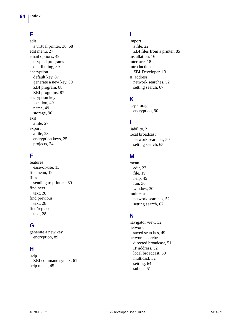# **E**

edit [a virtual printer, 36,](#page-35-0) [68](#page-67-0) [edit menu, 27](#page-26-2) [email options, 49](#page-48-0) encrypted programs [distributing, 89](#page-88-0) encryption [default key, 87](#page-86-0) [generate a new key, 89](#page-88-1) [ZBI program, 88](#page-87-0) [ZBI programs, 87](#page-86-1) encryption key [location, 49](#page-48-1) [name, 49](#page-48-1) [storage, 90](#page-89-0) exit [a file, 27](#page-26-3) export [a file, 23](#page-22-0) [encryption keys, 25](#page-24-2) [projects, 24](#page-23-0)

### **F**

features [ease-of-use, 13](#page-12-0) [file menu, 19](#page-18-1) files [sending to printers, 80](#page-79-0) find next [text, 28](#page-27-1) find previous [text, 28](#page-27-2) find/replace [text, 28](#page-27-3)

### **G**

generate a new key [encryption, 89](#page-88-1)

### **H**

help [ZBI command syntax, 61](#page-60-0) [help menu, 45](#page-44-1)

### **I**

import [a file, 22](#page-21-0) [ZBI files from a printer, 85](#page-84-0) [installation, 16](#page-15-0) [interface, 18](#page-17-0) introduction [ZBI-Developer, 13](#page-12-1) IP address [network searches, 52](#page-51-1) [setting search, 67](#page-66-0)

# **K**

key storage [encryption, 90](#page-89-0)

# **L**

[liability, 2](#page-1-0) local broadcast [network searches, 50](#page-49-0) [setting search, 65](#page-64-0)

### **M**

menu [edit, 27](#page-26-2) [file, 19](#page-18-1) [help, 45](#page-44-1) [run, 30](#page-29-0) [window, 30](#page-29-1) multicast [network searches, 52](#page-51-2) [setting search, 67](#page-66-1)

### **N**

[navigator view, 32](#page-31-0) network [saved searches, 49](#page-48-2) network searches [directed broadcast, 51](#page-50-0) [IP address, 52](#page-51-1) [local broadcast, 50](#page-49-0) [multicast, 52](#page-51-2) [setting, 64](#page-63-2) [subnet, 51](#page-50-1)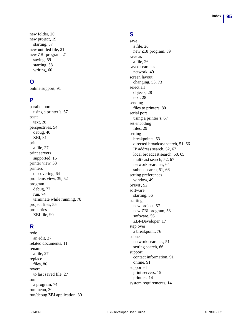[new folder, 20](#page-19-0) [new project, 19](#page-18-0) [starting, 57](#page-56-0) [new untitled file, 21](#page-20-0) [new ZBI program, 21](#page-20-1) [saving, 59](#page-58-0) [starting, 58](#page-57-0) [writing, 60](#page-59-0)

# **O**

[online support, 91](#page-90-2)

### **P**

parallel port [using a printer's, 67](#page-66-2) paste [text, 28](#page-27-4) [perspectives, 54](#page-53-0) [debug, 40](#page-39-0) [ZBI, 31](#page-30-0) print [a file, 27](#page-26-4) print servers [supported, 15](#page-14-0) [printer view, 33](#page-32-0) printers [discovering, 64](#page-63-1) [problems view, 39,](#page-38-0) [62](#page-61-0) program [debug, 72](#page-71-0) [run, 74](#page-73-0) [terminate while running, 78](#page-77-0) [project files, 55](#page-54-1) properties [ZBI file, 90](#page-89-1)

# **R**

redo [an edit, 27](#page-26-5) [related documents, 11](#page-10-0) rename [a file, 27](#page-26-6) replace [files, 86](#page-85-0) revert [to last saved file, 27](#page-26-7) run [a program, 74](#page-73-0) [run menu, 30](#page-29-0) [run/debug ZBI application, 30](#page-29-2)

# **S**

save [a file, 26](#page-25-0) [new ZBI program, 59](#page-58-0) save as [a file, 26](#page-25-1) saved searches [network, 49](#page-48-2) screen layout [changing, 53,](#page-52-0) [73](#page-72-0) select all [objects, 28](#page-27-5) [text, 28](#page-27-5) sending [files to printers, 80](#page-79-0) serial port [using a printer's, 67](#page-66-3) set encoding [files, 29](#page-28-0) setting [breakpoints, 63](#page-62-0) [directed broadcast search, 51,](#page-50-0) [66](#page-65-0) [IP address search, 52,](#page-51-1) [67](#page-66-0) [local broadcast search, 50,](#page-49-0) [65](#page-64-0) [multicast search, 52,](#page-51-2) [67](#page-66-1) [network searches, 64](#page-63-2) [subnet search, 51,](#page-50-1) [66](#page-65-1) setting preferences [window, 49](#page-48-3) [SNMP, 52](#page-51-0) software [starting, 56](#page-55-0) starting [new project, 57](#page-56-0) [new ZBI program, 58](#page-57-0) [software, 56](#page-55-0) [ZBI-Developer, 17](#page-16-0) step over [a breakpoint, 76](#page-75-0) subnet [network searches, 51](#page-50-1) [setting search, 66](#page-65-1) support [contact information, 91](#page-90-1) [online, 91](#page-90-2) supported [print servers, 15](#page-14-0) [printers, 14](#page-13-0) [system requirements, 14](#page-13-1)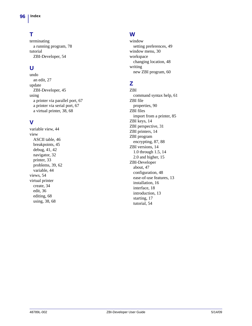# **T**

terminating [a running program, 78](#page-77-0) tutorial [ZBI-Developer, 54](#page-53-1)

# **U**

undo [an edit, 27](#page-26-8) update [ZBI-Developer, 45](#page-44-2) using [a printer via parallel port, 67](#page-66-2) [a printer via serial port, 67](#page-66-3) [a virtual printer, 38,](#page-37-0) [68](#page-67-1)

# **V**

[variable view, 44](#page-43-0) view [ASCII table, 46](#page-45-0) [breakpoints, 45](#page-44-0) [debug, 41,](#page-40-0) [42](#page-41-0) [navigator, 32](#page-31-0) [printer, 33](#page-32-0) [problems, 39,](#page-38-0) [62](#page-61-0) [variable, 44](#page-43-0) [views, 54](#page-53-2) virtual printer [create, 34](#page-33-0) [edit, 36](#page-35-0) [editing, 68](#page-67-0) [using, 38,](#page-37-0) [68](#page-67-1)

# **W**

window [setting preferences, 49](#page-48-3) [window menu, 30](#page-29-1) workspace [changing location, 48](#page-47-0) writing [new ZBI program, 60](#page-59-0)

# **Z**

ZBI [command syntax help, 61](#page-60-0) ZBI file [properties, 90](#page-89-1) ZBI files [import from a printer, 85](#page-84-0) [ZBI keys, 14](#page-13-0) [ZBI perspective, 31](#page-30-0) [ZBI printers, 14](#page-13-0) ZBI program [encrypting, 87,](#page-86-1) [88](#page-87-0) [ZBI versions, 14](#page-13-0) [1.0 through 1.5, 14](#page-13-2) [2.0 and higher, 15](#page-14-1) ZBI-Developer [about, 47](#page-46-0) [configuration, 48](#page-47-1) [ease-of-use features, 13](#page-12-0) [installation, 16](#page-15-0) [interface, 18](#page-17-0) [introduction, 13](#page-12-1) [starting, 17](#page-16-0) [tutorial, 54](#page-53-1)